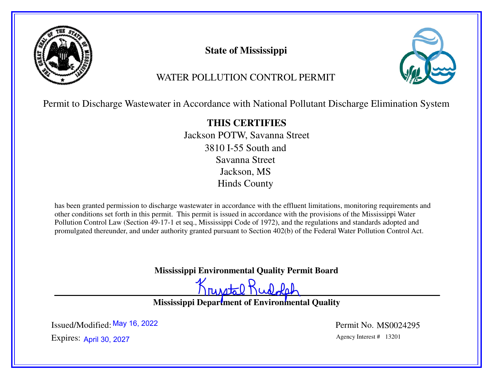

**State of Mississippi**



# WATER POLLUTION CONTROL PERMIT

Permit to Discharge Wastewater in Accordance with National Pollutant Discharge Elimination System

**THIS CERTIFIES** Jackson POTW, Savanna Street3810 I-55 South andSavanna StreetJackson, MSHinds County

has been granted permission to discharge wastewater in accordance with the effluent limitations, monitoring requirements and other conditions set forth in this permit. This permit is issued in accordance with the provisions of the Mississippi Water Pollution Control Law (Section 49-17-1 et seq., Mississippi Code of 1972), and the regulations and standards adopted and promulgated thereunder, and under authority granted pursuant to Section 402(b) of the Federal Water Pollution Control Act.

**Mississippi Environmental Quality Permit Board**

runstal Rudolph

**Mississippi Department of Environmental Quality** 

Expires: April 30, 2027 and the set of the set of the set of the set of the set of the set of the set of the set of the set of the set of the set of the set of the set of the set of the set of the set of the set of the set Issued/Modified: <sup>May 16,</sup> 2022

Permit No. MS0024295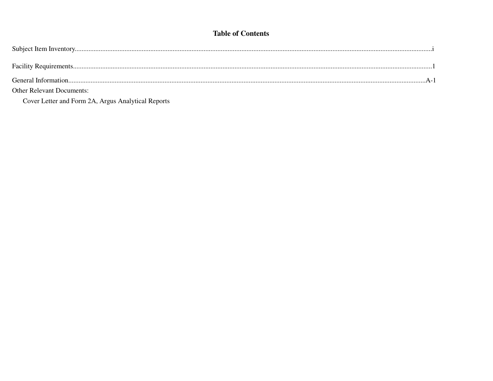## **Table of Contents**

| <b>Other Relevant Documents:</b> |  |
|----------------------------------|--|

Cover Letter and Form 2A, Argus Analytical Reports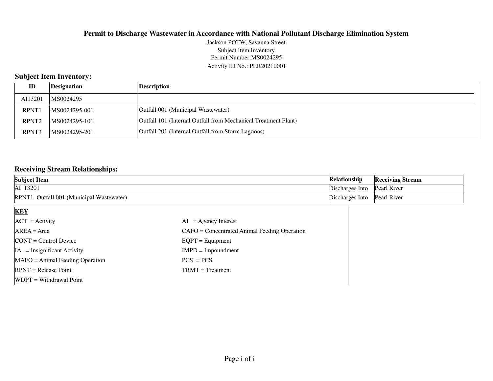### Permit Number:MS0024295 Activity ID No.: PER20210001Jackson POTW, Savanna StreetSubject Item Inventory

## **Subject Item Inventory:**

| ID                | Designation   | Description                                                    |
|-------------------|---------------|----------------------------------------------------------------|
| AI13201           | MS0024295     |                                                                |
| <b>RPNT1</b>      | MS0024295-001 | Outfall 001 (Municipal Wastewater)                             |
| RPNT <sub>2</sub> | MS0024295-101 | Outfall 101 (Internal Outfall from Mechanical Treatment Plant) |
| RPNT3             | MS0024295-201 | Outfall 201 (Internal Outfall from Storm Lagoons)              |

## **Receiving Stream Relationships:**

| <b>Subject Item</b>                         | <b>Relationship</b> | <b>Receiving Stream</b> |
|---------------------------------------------|---------------------|-------------------------|
| AI 13201                                    | Discharges Into     | Pearl River             |
| RPNT1<br>Outfall 001 (Municipal Wastewater) | Discharges Into     | Pearl River             |

| <b>KEY</b>                        |                                              |
|-----------------------------------|----------------------------------------------|
| $ACT = Activity$                  | $AI = Agency Interest$                       |
| $AREA = Area$                     | CAFO = Concentrated Animal Feeding Operation |
| $CONT = Control$ Device           | $EQPT = Equipment$                           |
| $IA = Insignificant Activity$     | $IMPD = Impoundment$                         |
| $MAFO = Animal Feeding Operation$ | $PCS = PCs$                                  |
| $RPNT = Release Point$            | $TRMT = Treatment$                           |
| WDPT = Withdrawal Point           |                                              |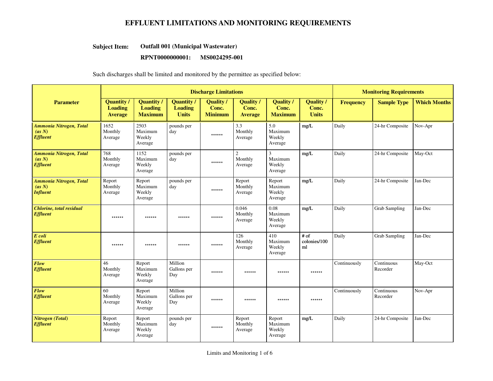#### **Outfall 001 (Municipal Wastewater)Subject Item:**

#### **RPNT0000000001: MS0024295-001**

|                                                             |                                                       |                                                       | <b>Discharge Limitations</b>                        |                                             | <b>Monitoring Requirements</b>            |                                                |                                           |                  |                        |                     |
|-------------------------------------------------------------|-------------------------------------------------------|-------------------------------------------------------|-----------------------------------------------------|---------------------------------------------|-------------------------------------------|------------------------------------------------|-------------------------------------------|------------------|------------------------|---------------------|
| <b>Parameter</b>                                            | <b>Quantity /</b><br><b>Loading</b><br><b>Average</b> | <b>Quantity /</b><br><b>Loading</b><br><b>Maximum</b> | <b>Quantity</b> /<br><b>Loading</b><br><b>Units</b> | <b>Quality</b> /<br>Conc.<br><b>Minimum</b> | <b>Quality</b><br>Conc.<br><b>Average</b> | <b>Quality</b><br>Conc.<br><b>Maximum</b>      | <b>Quality</b> /<br>Conc.<br><b>Units</b> | <b>Frequency</b> | <b>Sample Type</b>     | <b>Which Months</b> |
| <b>Ammonia Nitrogen, Total</b><br>(as N)<br><b>Effluent</b> | 1652<br>Monthly<br>Average                            | 2503<br>Maximum<br>Weekly<br>Average                  | pounds per<br>day                                   | ******                                      | 3.3<br>Monthly<br>Average                 | 5.0<br>Maximum<br>Weekly<br>Average            | mg/L                                      | Daily            | 24-hr Composite        | Nov-Apr             |
| <b>Ammonia Nitrogen, Total</b><br>(as N)<br><b>Effluent</b> | 768<br>Monthly<br>Average                             | 1152<br>Maximum<br>Weekly<br>Average                  | pounds per<br>day                                   | ******                                      | $\mathfrak{2}$<br>Monthly<br>Average      | $\overline{3}$<br>Maximum<br>Weekly<br>Average | mg/L                                      | Daily            | 24-hr Composite        | May-Oct             |
| <b>Ammonia Nitrogen, Total</b><br>(as N)<br><b>Influent</b> | Report<br>Monthly<br>Average                          | Report<br>Maximum<br>Weekly<br>Average                | pounds per<br>day                                   | ******                                      | Report<br>Monthly<br>Average              | Report<br>Maximum<br>Weekly<br>Average         | mg/L                                      | Daily            | 24-hr Composite        | Jan-Dec             |
| <b>Chlorine</b> , total residual<br><b>Effluent</b>         | ******                                                | ******                                                | ******                                              | ******                                      | 0.046<br>Monthly<br>Average               | 0.08<br>Maximum<br>Weekly<br>Average           | mg/L                                      | Daily            | <b>Grab Sampling</b>   | Jan-Dec             |
| E coli<br><b>Effluent</b>                                   | ******                                                | ******                                                | ******                                              | ******                                      | 126<br>Monthly<br>Average                 | 410<br>Maximum<br>Weekly<br>Average            | $#$ of<br>colonies/100<br>ml              | Daily            | <b>Grab Sampling</b>   | Jan-Dec             |
| Flow<br><b>Effluent</b>                                     | 46<br>Monthly<br>Average                              | Report<br>Maximum<br>Weekly<br>Average                | Million<br>Gallons per<br>Day                       | ******                                      | ******                                    | ******                                         | ******                                    | Continuously     | Continuous<br>Recorder | May-Oct             |
| Flow<br><b>Effluent</b>                                     | 60<br>Monthly<br>Average                              | Report<br>Maximum<br>Weekly<br>Average                | Million<br>Gallons per<br>Day                       | ******                                      | ******                                    | ******                                         | ******                                    | Continuously     | Continuous<br>Recorder | Nov-Apr             |
| <b>Nitrogen</b> (Total)<br><b>Effluent</b>                  | Report<br>Monthly<br>Average                          | Report<br>Maximum<br>Weekly<br>Average                | pounds per<br>day                                   | ******                                      | Report<br>Monthly<br>Average              | Report<br>Maximum<br>Weekly<br>Average         | mg/L                                      | Daily            | 24-hr Composite        | Jan-Dec             |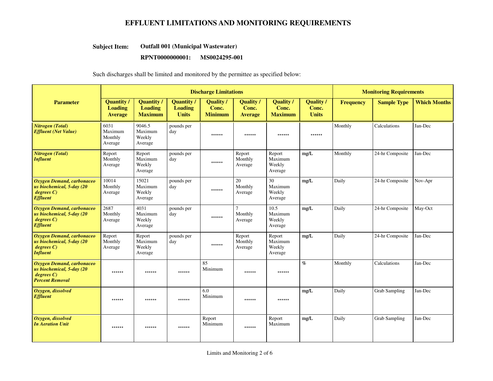#### **Outfall 001 (Municipal Wastewater)Subject Item:**

## **RPNT0000000001: MS0024295-001**

|                                                                                              |                                                       |                                                       | <b>Discharge Limitations</b>                        |                                      | <b>Monitoring Requirements</b>            |                                           |                                           |                  |                      |                     |
|----------------------------------------------------------------------------------------------|-------------------------------------------------------|-------------------------------------------------------|-----------------------------------------------------|--------------------------------------|-------------------------------------------|-------------------------------------------|-------------------------------------------|------------------|----------------------|---------------------|
| <b>Parameter</b>                                                                             | <b>Quantity</b> /<br><b>Loading</b><br><b>Average</b> | <b>Quantity /</b><br><b>Loading</b><br><b>Maximum</b> | <b>Quantity</b> /<br><b>Loading</b><br><b>Units</b> | Quality /<br>Conc.<br><b>Minimum</b> | <b>Quality</b><br>Conc.<br><b>Average</b> | <b>Quality</b><br>Conc.<br><b>Maximum</b> | <b>Quality</b> /<br>Conc.<br><b>Units</b> | <b>Frequency</b> | <b>Sample Type</b>   | <b>Which Months</b> |
| <b>Nitrogen</b> (Total)<br><b>Effluent (Net Value)</b>                                       | 6031<br>Maximum<br>Monthly<br>Average                 | 9046.5<br>Maximum<br>Weekly<br>Average                | pounds per<br>day                                   | ******                               | ******                                    | ******                                    | ******                                    | Monthly          | Calculations         | Jan-Dec             |
| <b>Nitrogen</b> (Total)<br><b>Influent</b>                                                   | Report<br>Monthly<br>Average                          | Report<br>Maximum<br>Weekly<br>Average                | pounds per<br>day                                   | ******                               | Report<br>Monthly<br>Average              | Report<br>Maximum<br>Weekly<br>Average    | mg/L                                      | Monthly          | 24-hr Composite      | Jan-Dec             |
| Oxygen Demand, carbonaceo<br>us biochemical, 5-day (20<br>degree C<br><b>Effluent</b>        | 10014<br>Monthly<br>Average                           | 15021<br>Maximum<br>Weekly<br>Average                 | pounds per<br>day                                   | ******                               | 20<br>Monthly<br>Average                  | 30<br>Maximum<br>Weekly<br>Average        | mg/L                                      | Daily            | 24-hr Composite      | Nov-Apr             |
| Oxygen Demand, carbonaceo<br>us biochemical, 5-day (20<br>degree C<br><b>Effluent</b>        | 2687<br>Monthly<br>Average                            | 4031<br>Maximum<br>Weekly<br>Average                  | pounds per<br>day                                   | ******                               | $\tau$<br>Monthly<br>Average              | 10.5<br>Maximum<br>Weekly<br>Average      | mg/L                                      | Daily            | 24-hr Composite      | May-Oct             |
| Oxygen Demand, carbonaceo<br>us biochemical, 5-day (20<br>degree C<br><b>Influent</b>        | Report<br>Monthly<br>Average                          | Report<br>Maximum<br>Weekly<br>Average                | pounds per<br>day                                   | ******                               | Report<br>Monthly<br>Average              | Report<br>Maximum<br>Weekly<br>Average    | mg/L                                      | Daily            | 24-hr Composite      | Jan-Dec             |
| Oxygen Demand, carbonaceo<br>us biochemical, 5-day (20<br>degree C<br><b>Percent Removal</b> | ******                                                | ******                                                | ******                                              | 85<br>Minimum                        | ******                                    | ******                                    | $\mathcal{G}_0$                           | Monthly          | Calculations         | Jan-Dec             |
| Oxygen, dissolved<br><b>Effluent</b>                                                         | ******                                                | ******                                                | ******                                              | 6.0<br>Minimum                       | ******                                    | $******$                                  | mg/L                                      | Daily            | <b>Grab Sampling</b> | Jan-Dec             |
| Oxygen, dissolved<br><b>In Aeration Unit</b>                                                 | ******                                                | ******                                                | ******                                              | Report<br>Minimum                    | ******                                    | Report<br>Maximum                         | mg/L                                      | Daily            | <b>Grab Sampling</b> | Jan-Dec             |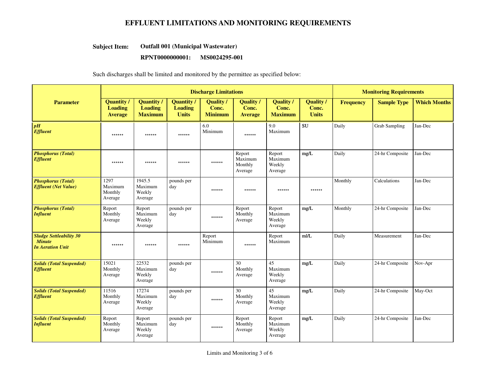#### **Outfall 001 (Municipal Wastewater)Subject Item:**

#### **RPNT0000000001: MS0024295-001**

|                                                                            |                                                       |                                                       | <b>Discharge Limitations</b>                        |                                      | <b>Monitoring Requirements</b>            |                                           |                                           |                  |                      |                     |
|----------------------------------------------------------------------------|-------------------------------------------------------|-------------------------------------------------------|-----------------------------------------------------|--------------------------------------|-------------------------------------------|-------------------------------------------|-------------------------------------------|------------------|----------------------|---------------------|
| <b>Parameter</b>                                                           | <b>Quantity /</b><br><b>Loading</b><br><b>Average</b> | <b>Quantity /</b><br><b>Loading</b><br><b>Maximum</b> | <b>Quantity</b> /<br><b>Loading</b><br><b>Units</b> | Quality /<br>Conc.<br><b>Minimum</b> | <b>Quality</b><br>Conc.<br><b>Average</b> | <b>Quality</b><br>Conc.<br><b>Maximum</b> | <b>Quality</b> /<br>Conc.<br><b>Units</b> | <b>Frequency</b> | <b>Sample Type</b>   | <b>Which Months</b> |
| pH<br><b>Effluent</b>                                                      | ******                                                | ******                                                | ******                                              | 6.0<br>Minimum                       | ******                                    | 9.0<br>Maximum                            | <b>SU</b>                                 | Daily            | <b>Grab Sampling</b> | Jan-Dec             |
| <b>Phosphorus (Total)</b><br><b>Effluent</b>                               | ******                                                | ******                                                | ******                                              | ******                               | Report<br>Maximum<br>Monthly<br>Average   | Report<br>Maximum<br>Weekly<br>Average    | mg/L                                      | Daily            | 24-hr Composite      | Jan-Dec             |
| <b>Phosphorus (Total)</b><br><b>Effluent</b> (Net Value)                   | 1297<br>Maximum<br>Monthly<br>Average                 | 1945.5<br>Maximum<br>Weekly<br>Average                | pounds per<br>day                                   | ******                               | ******                                    | ******                                    | ******                                    | Monthly          | Calculations         | Jan-Dec             |
| <b>Phosphorus (Total)</b><br><b>Influent</b>                               | Report<br>Monthly<br>Average                          | Report<br>Maximum<br>Weekly<br>Average                | pounds per<br>day                                   | ******                               | Report<br>Monthly<br>Average              | Report<br>Maximum<br>Weekly<br>Average    | mg/L                                      | Monthly          | 24-hr Composite      | Jan-Dec             |
| <b>Sludge Settleability 30</b><br><b>Minute</b><br><b>In Aeration Unit</b> | ******                                                | ******                                                | ******                                              | Report<br>Minimum                    | ******                                    | Report<br>Maximum                         | m/L                                       | Daily            | Measurement          | Jan-Dec             |
| <b>Solids (Total Suspended)</b><br><b>Effluent</b>                         | 15021<br>Monthly<br>Average                           | 22532<br>Maximum<br>Weekly<br>Average                 | pounds per<br>day                                   | ******                               | 30<br>Monthly<br>Average                  | 45<br>Maximum<br>Weekly<br>Average        | $\rm mg/L$                                | Daily            | 24-hr Composite      | Nov-Apr             |
| <b>Solids (Total Suspended)</b><br><b>Effluent</b>                         | 11516<br>Monthly<br>Average                           | 17274<br>Maximum<br>Weekly<br>Average                 | pounds per<br>day                                   | ******                               | 30<br>Monthly<br>Average                  | 45<br>Maximum<br>Weekly<br>Average        | mg/L                                      | Daily            | 24-hr Composite      | May-Oct             |
| <b>Solids (Total Suspended)</b><br><b>Influent</b>                         | Report<br>Monthly<br>Average                          | Report<br>Maximum<br>Weekly<br>Average                | pounds per<br>day                                   | ******                               | Report<br>Monthly<br>Average              | Report<br>Maximum<br>Weekly<br>Average    | mg/L                                      | Daily            | 24-hr Composite      | Jan-Dec             |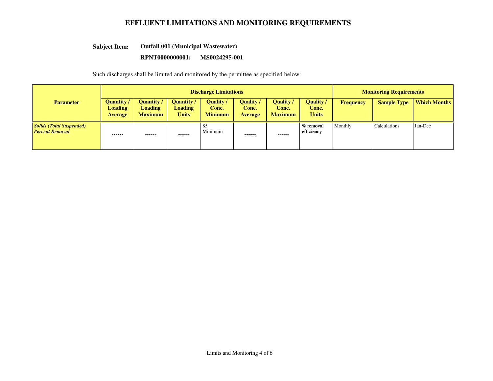#### **Outfall 001 (Municipal Wastewater)Subject Item:**

### **RPNT0000000001: MS0024295-001**

|                                                           |                                                       |                                                       | <b>Discharge Limitations</b>                      |                                      | <b>Monitoring Requirements</b>            |                                             |                                           |                  |                     |                     |
|-----------------------------------------------------------|-------------------------------------------------------|-------------------------------------------------------|---------------------------------------------------|--------------------------------------|-------------------------------------------|---------------------------------------------|-------------------------------------------|------------------|---------------------|---------------------|
| <b>Parameter</b>                                          | <b>Quantity</b> /<br><b>Loading</b><br><b>Average</b> | <b>Quantity</b> /<br><b>Loading</b><br><b>Maximum</b> | <b>Quantity</b><br><b>Loading</b><br><b>Units</b> | Quality /<br>Conc.<br><b>Minimum</b> | <b>Quality</b><br>Conc.<br><b>Average</b> | <b>Quality /</b><br>Conc.<br><b>Maximum</b> | <b>Quality</b> /<br>Conc.<br><b>Units</b> | <b>Frequency</b> | <b>Sample Type</b>  | <b>Which Months</b> |
| <b>Solids (Total Suspended)</b><br><b>Percent Removal</b> | ******                                                | ******                                                | ******                                            | 85<br>Minimum                        | ******                                    | ******                                      | % removal<br>efficiency                   | Monthly          | <b>Calculations</b> | Jan-Dec             |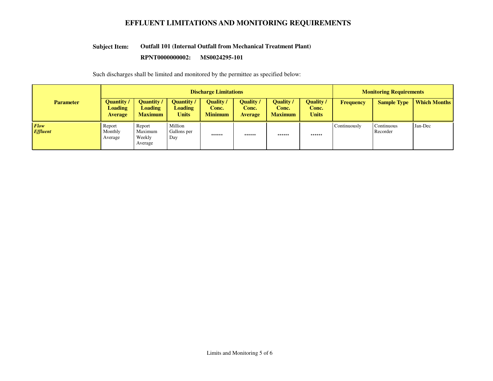#### **Outfall 101 (Internal Outfall from Mechanical Treatment Plant)Subject Item:**

#### **RPNT0000000002: MS0024295-101**

|                         |                                                       |                                                       | <b>Discharge Limitations</b>                      | <b>Monitoring Requirements</b>              |                                             |                                             |                                           |                  |                        |                     |
|-------------------------|-------------------------------------------------------|-------------------------------------------------------|---------------------------------------------------|---------------------------------------------|---------------------------------------------|---------------------------------------------|-------------------------------------------|------------------|------------------------|---------------------|
| <b>Parameter</b>        | <b>Quantity</b> /<br><b>Loading</b><br><b>Average</b> | <b>Quantity</b> /<br><b>Loading</b><br><b>Maximum</b> | <b>Ouantity</b><br><b>Loading</b><br><b>Units</b> | <b>Quality</b> /<br>Conc.<br><b>Minimum</b> | <b>Quality</b> /<br>Conc.<br><b>Average</b> | <b>Quality</b> /<br>Conc.<br><b>Maximum</b> | <b>Quality</b> /<br>Conc.<br><b>Units</b> | <b>Frequency</b> | <b>Sample Type</b>     | <b>Which Months</b> |
| Flow<br><b>Effluent</b> | Report<br>Monthly<br>Average                          | Report<br>Maximum<br>Weekly<br>Average                | Million<br>Gallons per<br>Day                     | ******                                      | ******                                      | ******                                      | ******                                    | Continuously     | Continuous<br>Recorder | Jan-Dec             |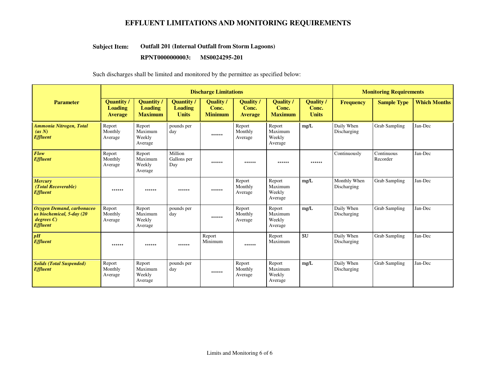#### **Outfall 201 (Internal Outfall from Storm Lagoons)Subject Item:**

#### **RPNT0000000003: MS0024295-201**

|                                                                                       |                                                       |                                                     | <b>Discharge Limitations</b>                |                                      | <b>Monitoring Requirements</b>       |                                           |                                           |                             |                        |                     |
|---------------------------------------------------------------------------------------|-------------------------------------------------------|-----------------------------------------------------|---------------------------------------------|--------------------------------------|--------------------------------------|-------------------------------------------|-------------------------------------------|-----------------------------|------------------------|---------------------|
| <b>Parameter</b>                                                                      | <b>Quantity</b> /<br><b>Loading</b><br><b>Average</b> | <b>Ouantity</b><br><b>Loading</b><br><b>Maximum</b> | Quantity/<br><b>Loading</b><br><b>Units</b> | Quality /<br>Conc.<br><b>Minimum</b> | Quality /<br>Conc.<br><b>Average</b> | <b>Ouality</b><br>Conc.<br><b>Maximum</b> | <b>Ouality</b> /<br>Conc.<br><b>Units</b> | <b>Frequency</b>            | <b>Sample Type</b>     | <b>Which Months</b> |
| <b>Ammonia Nitrogen, Total</b><br>(as N)<br><b>Effluent</b>                           | Report<br>Monthly<br>Average                          | Report<br>Maximum<br>Weekly<br>Average              | pounds per<br>day                           | ******                               | Report<br>Monthly<br>Average         | Report<br>Maximum<br>Weekly<br>Average    | mg/L                                      | Daily When<br>Discharging   | <b>Grab Sampling</b>   | Jan-Dec             |
| Flow<br><b>Effluent</b>                                                               | Report<br>Monthly<br>Average                          | Report<br>Maximum<br>Weekly<br>Average              | Million<br>Gallons per<br>Day               | ******                               | ******                               | ******                                    | ******                                    | Continuously                | Continuous<br>Recorder | Jan-Dec             |
| <b>Mercury</b><br>(Total Recoverable)<br><b>Effluent</b>                              | ******                                                | ******                                              | ******                                      | ******                               | Report<br>Monthly<br>Average         | Report<br>Maximum<br>Weekly<br>Average    | mg/L                                      | Monthly When<br>Discharging | <b>Grab Sampling</b>   | Jan-Dec             |
| Oxygen Demand, carbonaceo<br>us biochemical, 5-day (20<br>degree C<br><b>Effluent</b> | Report<br>Monthly<br>Average                          | Report<br>Maximum<br>Weekly<br>Average              | pounds per<br>day                           | ******                               | Report<br>Monthly<br>Average         | Report<br>Maximum<br>Weekly<br>Average    | mg/L                                      | Daily When<br>Discharging   | <b>Grab Sampling</b>   | Jan-Dec             |
| pH<br><b>Effluent</b>                                                                 | ******                                                | ******                                              | ******                                      | Report<br>Minimum                    | ******                               | Report<br>Maximum                         | <b>SU</b>                                 | Daily When<br>Discharging   | <b>Grab Sampling</b>   | Jan-Dec             |
| <b>Solids (Total Suspended)</b><br><b>Effluent</b>                                    | Report<br>Monthly<br>Average                          | Report<br>Maximum<br>Weekly<br>Average              | pounds per<br>day                           | ******                               | Report<br>Monthly<br>Average         | Report<br>Maximum<br>Weekly<br>Average    | mg/L                                      | Daily When<br>Discharging   | <b>Grab Sampling</b>   | Jan-Dec             |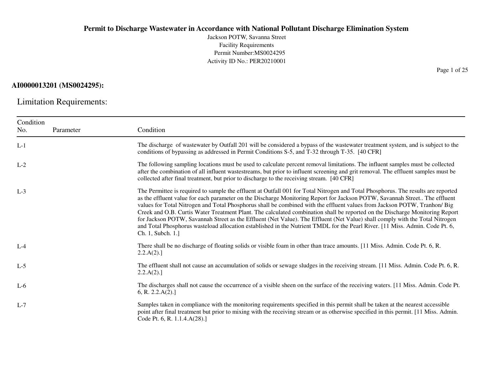Jackson POTW, Savanna StreetFacility Requirements Permit Number:MS0024295Activity ID No.: PER20210001

## **AI0000013201 (MS0024295):**

Limitation Requirements:

| Condition |           |                                                                                                                                                                                                                                                                                                                                                                                                                                                                                                                                                                                                                                                                                                                                                                                                                  |
|-----------|-----------|------------------------------------------------------------------------------------------------------------------------------------------------------------------------------------------------------------------------------------------------------------------------------------------------------------------------------------------------------------------------------------------------------------------------------------------------------------------------------------------------------------------------------------------------------------------------------------------------------------------------------------------------------------------------------------------------------------------------------------------------------------------------------------------------------------------|
| No.       | Parameter | Condition                                                                                                                                                                                                                                                                                                                                                                                                                                                                                                                                                                                                                                                                                                                                                                                                        |
| $L-1$     |           | The discharge of wastewater by Outfall 201 will be considered a bypass of the wastewater treatment system, and is subject to the<br>conditions of bypassing as addressed in Permit Conditions S-5, and T-32 through T-35. [40 CFR]                                                                                                                                                                                                                                                                                                                                                                                                                                                                                                                                                                               |
| $L-2$     |           | The following sampling locations must be used to calculate percent removal limitations. The influent samples must be collected<br>after the combination of all influent wastestreams, but prior to influent screening and grit removal. The effluent samples must be<br>collected after final treatment, but prior to discharge to the receiving stream. [40 CFR]                                                                                                                                                                                                                                                                                                                                                                                                                                                |
| $L-3$     |           | The Permittee is required to sample the effluent at Outfall 001 for Total Nitrogen and Total Phosphorus. The results are reported<br>as the effluent value for each parameter on the Discharge Monitoring Report for Jackson POTW, Savannah Street The effluent<br>values for Total Nitrogen and Total Phosphorus shall be combined with the effluent values from Jackson POTW, Tranhon/ Big<br>Creek and O.B. Curtis Water Treatment Plant. The calculated combination shall be reported on the Discharge Monitoring Report<br>for Jackson POTW, Savannah Street as the Effluent (Net Value). The Effluent (Net Value) shall comply with the Total Nitrogen<br>and Total Phosphorus wasteload allocation established in the Nutrient TMDL for the Pearl River. [11 Miss. Admin. Code Pt. 6,<br>Ch. 1, Subch. 1. |
| $L-4$     |           | There shall be no discharge of floating solids or visible foam in other than trace amounts. [11 Miss. Admin. Code Pt. 6, R.<br>2.2.A(2).                                                                                                                                                                                                                                                                                                                                                                                                                                                                                                                                                                                                                                                                         |
| $L-5$     |           | The effluent shall not cause an accumulation of solids or sewage sludges in the receiving stream. [11 Miss. Admin. Code Pt. 6, R.<br>2.2.A(2).                                                                                                                                                                                                                                                                                                                                                                                                                                                                                                                                                                                                                                                                   |
| $L-6$     |           | The discharges shall not cause the occurrence of a visible sheen on the surface of the receiving waters. [11 Miss. Admin. Code Pt.<br>6, R. 2.2.A(2).                                                                                                                                                                                                                                                                                                                                                                                                                                                                                                                                                                                                                                                            |
| $L-7$     |           | Samples taken in compliance with the monitoring requirements specified in this permit shall be taken at the nearest accessible<br>point after final treatment but prior to mixing with the receiving stream or as otherwise specified in this permit. [11 Miss. Admin.<br>Code Pt. 6, R. 1.1.4.A(28).]                                                                                                                                                                                                                                                                                                                                                                                                                                                                                                           |

Page 1 of 25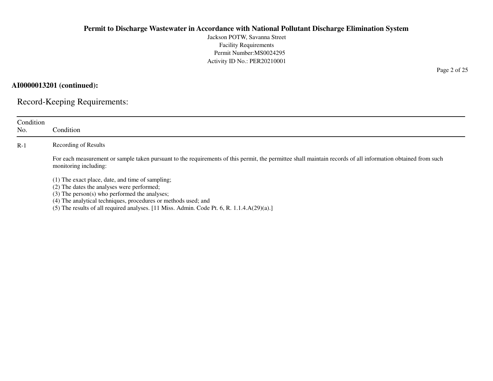Jackson POTW, Savanna StreetFacility Requirements Permit Number:MS0024295Activity ID No.: PER20210001

**AI0000013201 (continued):**

Record-Keeping Requirements:

| Condition<br>No. | Condition                                                                                                                                                                                                                                                                                                          |
|------------------|--------------------------------------------------------------------------------------------------------------------------------------------------------------------------------------------------------------------------------------------------------------------------------------------------------------------|
| $R-1$            | Recording of Results                                                                                                                                                                                                                                                                                               |
|                  | For each measurement or sample taken pursuant to the requirements of this permit, the permittee shall maintain records of all information obtained from such<br>monitoring including:                                                                                                                              |
|                  | (1) The exact place, date, and time of sampling;<br>(2) The dates the analyses were performed;<br>(3) The person(s) who performed the analyses;<br>(4) The analytical techniques, procedures or methods used; and<br>(5) The results of all required analyses. [11 Miss. Admin. Code Pt. 6, R. $1.1.4.A(29)(a).$ ] |

Page 2 of 25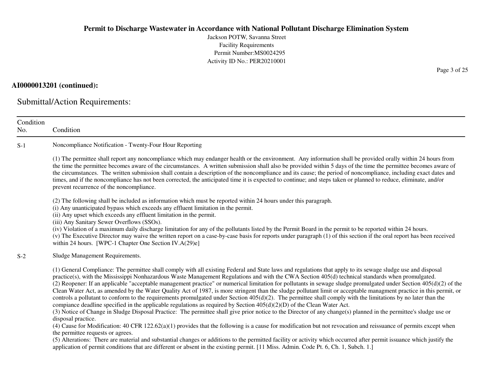Jackson POTW, Savanna StreetFacility Requirements Permit Number:MS0024295Activity ID No.: PER20210001

## **AI0000013201 (continued):**

Submittal/Action Requirements:

| Condition<br>No. | Condition                                                                                                                                                                                                                                                                                                                                                                                                                                                                                                                                                                                                                                                                                                                                                                                                                                                                                                                                                                                                                                                                                                                                                                                                                                                                                                                                                                                                                                                                                                                                                                                                                                                                             |
|------------------|---------------------------------------------------------------------------------------------------------------------------------------------------------------------------------------------------------------------------------------------------------------------------------------------------------------------------------------------------------------------------------------------------------------------------------------------------------------------------------------------------------------------------------------------------------------------------------------------------------------------------------------------------------------------------------------------------------------------------------------------------------------------------------------------------------------------------------------------------------------------------------------------------------------------------------------------------------------------------------------------------------------------------------------------------------------------------------------------------------------------------------------------------------------------------------------------------------------------------------------------------------------------------------------------------------------------------------------------------------------------------------------------------------------------------------------------------------------------------------------------------------------------------------------------------------------------------------------------------------------------------------------------------------------------------------------|
| $S-1$            | Noncompliance Notification - Twenty-Four Hour Reporting                                                                                                                                                                                                                                                                                                                                                                                                                                                                                                                                                                                                                                                                                                                                                                                                                                                                                                                                                                                                                                                                                                                                                                                                                                                                                                                                                                                                                                                                                                                                                                                                                               |
|                  | (1) The permittee shall report any noncompliance which may endanger health or the environment. Any information shall be provided orally within 24 hours from<br>the time the permittee becomes aware of the circumstances. A written submission shall also be provided within 5 days of the time the permittee becomes aware of<br>the circumstances. The written submission shall contain a description of the noncompliance and its cause; the period of noncompliance, including exact dates and<br>times, and if the noncompliance has not been corrected, the anticipated time it is expected to continue; and steps taken or planned to reduce, eliminate, and/or<br>prevent recurrence of the noncompliance.                                                                                                                                                                                                                                                                                                                                                                                                                                                                                                                                                                                                                                                                                                                                                                                                                                                                                                                                                                   |
|                  | (2) The following shall be included as information which must be reported within 24 hours under this paragraph.<br>(i) Any unanticipated bypass which exceeds any effluent limitation in the permit.<br>(ii) Any upset which exceeds any effluent limitation in the permit.<br>(iii) Any Sanitary Sewer Overflows (SSOs).<br>(iv) Violation of a maximum daily discharge limitation for any of the pollutants listed by the Permit Board in the permit to be reported within 24 hours.<br>(v) The Executive Director may waive the written report on a case-by-case basis for reports under paragraph (1) of this section if the oral report has been received<br>within 24 hours. [WPC-1 Chapter One Section IV.A(29)e]                                                                                                                                                                                                                                                                                                                                                                                                                                                                                                                                                                                                                                                                                                                                                                                                                                                                                                                                                              |
| $S-2$            | Sludge Management Requirements.                                                                                                                                                                                                                                                                                                                                                                                                                                                                                                                                                                                                                                                                                                                                                                                                                                                                                                                                                                                                                                                                                                                                                                                                                                                                                                                                                                                                                                                                                                                                                                                                                                                       |
|                  | (1) General Compliance: The permittee shall comply with all existing Federal and State laws and regulations that apply to its sewage sludge use and disposal<br>practice(s), with the Mississippi Nonhazardous Waste Management Regulations and with the CWA Section 405(d) technical standards when promulgated.<br>(2) Reopener: If an applicable "acceptable management practice" or numerical limitation for pollutants in sewage sludge promulgated under Section $405(d)(2)$ of the<br>Clean Water Act, as amended by the Water Quality Act of 1987, is more stringent than the sludge pollutant limit or acceptable managment practice in this permit, or<br>controls a pollutant to conform to the requirements promulgated under Section $405(d)(2)$ . The permittee shall comply with the limitations by no later than the<br>compiance deadline specified in the applicable regulations as required by Section $405(d)(2)(D)$ of the Clean Water Act.<br>(3) Notice of Change in Sludge Disposal Practice: The permittee shall give prior notice to the Director of any change(s) planned in the permittee's sludge use or<br>disposal practice.<br>(4) Cause for Modification: 40 CFR 122.62(a)(1) provides that the following is a cause for modification but not revocation and reissuance of permits except when<br>the permittee requests or agrees.<br>(5) Alterations: There are material and substantial changes or additions to the permitted facility or activity which occurred after permit issuance which justify the<br>application of permit conditions that are different or absent in the existing permit. [11 Miss. Admin. Code Pt. 6, Ch. 1, Subch. 1.] |

Page 3 of 25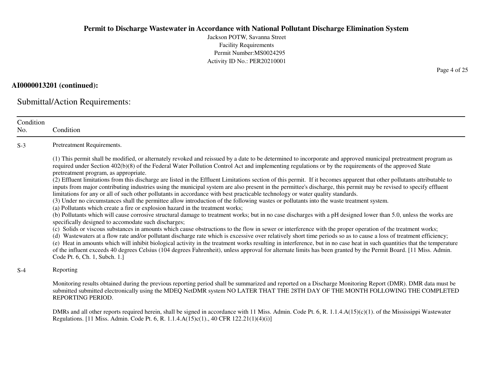Jackson POTW, Savanna StreetFacility Requirements Permit Number:MS0024295Activity ID No.: PER20210001

## **AI0000013201 (continued):**

Submittal/Action Requirements:

| Condition<br>No. | Condition                                                                                                                                                                                                                                                                                                                                                                                                                                                                                                                                                                                                                                                                                                                                                                                                                                                                                                                                                                                                                                                                                                                                                                                                                                                                                                                                                                                                                                                                                                                                                                                                                                                                                                                                                                                                                                                                                                                                                                                                                               |
|------------------|-----------------------------------------------------------------------------------------------------------------------------------------------------------------------------------------------------------------------------------------------------------------------------------------------------------------------------------------------------------------------------------------------------------------------------------------------------------------------------------------------------------------------------------------------------------------------------------------------------------------------------------------------------------------------------------------------------------------------------------------------------------------------------------------------------------------------------------------------------------------------------------------------------------------------------------------------------------------------------------------------------------------------------------------------------------------------------------------------------------------------------------------------------------------------------------------------------------------------------------------------------------------------------------------------------------------------------------------------------------------------------------------------------------------------------------------------------------------------------------------------------------------------------------------------------------------------------------------------------------------------------------------------------------------------------------------------------------------------------------------------------------------------------------------------------------------------------------------------------------------------------------------------------------------------------------------------------------------------------------------------------------------------------------------|
| $S-3$            | Pretreatment Requirements.                                                                                                                                                                                                                                                                                                                                                                                                                                                                                                                                                                                                                                                                                                                                                                                                                                                                                                                                                                                                                                                                                                                                                                                                                                                                                                                                                                                                                                                                                                                                                                                                                                                                                                                                                                                                                                                                                                                                                                                                              |
|                  | (1) This permit shall be modified, or alternately revoked and reissued by a date to be determined to incorporate and approved municipal pretreatment program as<br>required under Section 402(b)(8) of the Federal Water Pollution Control Act and implementing regulations or by the requirements of the approved State<br>pretreatment program, as appropriate.<br>(2) Effluent limitations from this discharge are listed in the Effluent Limitations section of this permit. If it becomes apparent that other pollutants attributable to<br>inputs from major contributing industries using the municipal system are also present in the permittee's discharge, this permit may be revised to specify effluent<br>limitations for any or all of such other pollutants in accordance with best practicable technology or water quality standards.<br>(3) Under no circumstances shall the permittee allow introduction of the following wastes or pollutants into the waste treatment system.<br>(a) Pollutants which create a fire or explosion hazard in the treatment works;<br>(b) Pollutants which will cause corrosive structural damage to treatment works; but in no case discharges with a pH designed lower than 5.0, unless the works are<br>specifically designed to accomodate such discharges;<br>(c) Solids or viscous substances in amounts which cause obstructions to the flow in sewer or interference with the proper operation of the treatment works;<br>(d) Wastewaters at a flow rate and/or pollutant discharge rate which is excessive over relatively short time periods so as to cause a loss of treatment efficiency;<br>(e) Heat in amounts which will inhibit biological activity in the treatment works resulting in interference, but in no case heat in such quantities that the temperature<br>of the influent exceeds 40 degrees Celsius (104 degrees Fahrenheit), unless approval for alternate limits has been granted by the Permit Board. [11 Miss. Admin.<br>Code Pt. 6, Ch. 1, Subch. 1.] |
| $S-4$            | Reporting                                                                                                                                                                                                                                                                                                                                                                                                                                                                                                                                                                                                                                                                                                                                                                                                                                                                                                                                                                                                                                                                                                                                                                                                                                                                                                                                                                                                                                                                                                                                                                                                                                                                                                                                                                                                                                                                                                                                                                                                                               |
|                  | Monitoring results obtained during the previous reporting period shall be summarized and reported on a Discharge Monitoring Report (DMR). DMR data must be<br>submitted submitted electronically using the MDEQ NetDMR system NO LATER THAT THE 28TH DAY OF THE MONTH FOLLOWING THE COMPLETED<br>REPORTING PERIOD.                                                                                                                                                                                                                                                                                                                                                                                                                                                                                                                                                                                                                                                                                                                                                                                                                                                                                                                                                                                                                                                                                                                                                                                                                                                                                                                                                                                                                                                                                                                                                                                                                                                                                                                      |
|                  | DMRs and all other reports required herein, shall be signed in accordance with 11 Miss. Admin. Code Pt. 6, R. 1.1.4.A(15)(c)(1). of the Mississippi Wastewater<br>Regulations. [11 Miss. Admin. Code Pt. 6, R. 1.1.4.A(15)c(1)., 40 CFR 122.21(1)(4)(i)]                                                                                                                                                                                                                                                                                                                                                                                                                                                                                                                                                                                                                                                                                                                                                                                                                                                                                                                                                                                                                                                                                                                                                                                                                                                                                                                                                                                                                                                                                                                                                                                                                                                                                                                                                                                |

Page 4 of 25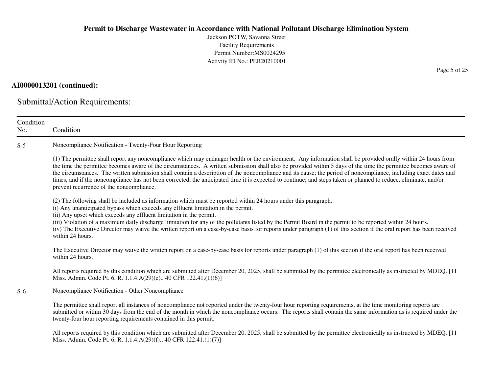Jackson POTW, Savanna StreetFacility Requirements Permit Number:MS0024295Activity ID No.: PER20210001

## **AI0000013201 (continued):**

Submittal/Action Requirements:

Miss. Admin. Code Pt. 6, R. 1.1.4.A(29)(f)., 40 CFR 122.41.(1)(7)]

| Condition<br>No. | Condition                                                                                                                                                                                                                                                                                                                                                                                                                                                                                                                                                                                                                                                                                                           |
|------------------|---------------------------------------------------------------------------------------------------------------------------------------------------------------------------------------------------------------------------------------------------------------------------------------------------------------------------------------------------------------------------------------------------------------------------------------------------------------------------------------------------------------------------------------------------------------------------------------------------------------------------------------------------------------------------------------------------------------------|
| $S-5$            | Noncompliance Notification - Twenty-Four Hour Reporting                                                                                                                                                                                                                                                                                                                                                                                                                                                                                                                                                                                                                                                             |
|                  | (1) The permittee shall report any noncompliance which may endanger health or the environment. Any information shall be provided orally within 24 hours from<br>the time the permittee becomes aware of the circumstances. A written submission shall also be provided within 5 days of the time the permittee becomes aware of<br>the circumstances. The written submission shall contain a description of the noncompliance and its cause; the period of noncompliance, including exact dates and<br>times, and if the noncompliance has not been corrected, the anticipated time it is expected to continue; and steps taken or planned to reduce, eliminate, and/or<br>prevent recurrence of the noncompliance. |
|                  | (2) The following shall be included as information which must be reported within 24 hours under this paragraph.<br>(i) Any unanticipated bypass which exceeds any effluent limitation in the permit.<br>(ii) Any upset which exceeds any effluent limitation in the permit.<br>(iii) Violation of a maximum daily discharge limitation for any of the pollutants listed by the Permit Board in the permit to be reported within 24 hours.<br>(iv) The Executive Director may waive the written report on a case-by-case basis for reports under paragraph (1) of this section if the oral report has been received<br>within 24 hours.                                                                              |
|                  | The Executive Director may waive the written report on a case-by-case basis for reports under paragraph (1) of this section if the oral report has been received<br>within 24 hours.                                                                                                                                                                                                                                                                                                                                                                                                                                                                                                                                |
|                  | All reports required by this condition which are submitted after December 20, 2025, shall be submitted by the permittee electronically as instructed by MDEQ. [11<br>Miss. Admin. Code Pt. 6, R. 1.1.4.A(29)(e)., 40 CFR 122.41.(1)(6)]                                                                                                                                                                                                                                                                                                                                                                                                                                                                             |
| $S-6$            | Noncompliance Notification - Other Noncompliance                                                                                                                                                                                                                                                                                                                                                                                                                                                                                                                                                                                                                                                                    |
|                  | The permittee shall report all instances of noncompliance not reported under the twenty-four hour reporting requirements, at the time monitoring reports are<br>submitted or within 30 days from the end of the month in which the noncompliance occurs. The reports shall contain the same information as is required under the<br>twenty-four hour reporting requirements contained in this permit.                                                                                                                                                                                                                                                                                                               |
|                  | All reports required by this condition which are submitted after December 20, 2025, shall be submitted by the permittee electronically as instructed by MDEQ. [11]                                                                                                                                                                                                                                                                                                                                                                                                                                                                                                                                                  |

Page 5 of 25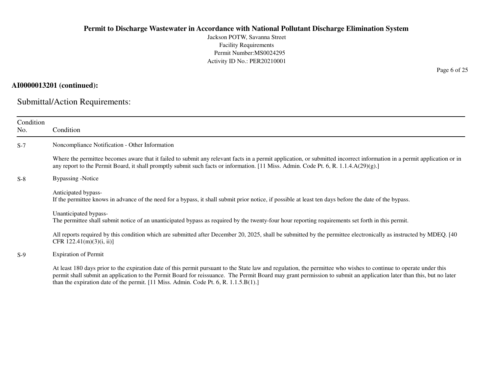Jackson POTW, Savanna StreetFacility Requirements Permit Number:MS0024295Activity ID No.: PER20210001

## **AI0000013201 (continued):**

Submittal/Action Requirements:

| Condition<br>No. | Condition                                                                                                                                                                                                                                                                                                                                                                                                                             |
|------------------|---------------------------------------------------------------------------------------------------------------------------------------------------------------------------------------------------------------------------------------------------------------------------------------------------------------------------------------------------------------------------------------------------------------------------------------|
| $S-7$            | Noncompliance Notification - Other Information                                                                                                                                                                                                                                                                                                                                                                                        |
|                  | Where the permittee becomes aware that it failed to submit any relevant facts in a permit application, or submitted incorrect information in a permit application or in<br>any report to the Permit Board, it shall promptly submit such facts or information. [11 Miss. Admin. Code Pt. 6, R. 1.1.4.A(29)(g).]                                                                                                                       |
| $S-8$            | Bypassing -Notice                                                                                                                                                                                                                                                                                                                                                                                                                     |
|                  | Anticipated bypass-<br>If the permittee knows in advance of the need for a bypass, it shall submit prior notice, if possible at least ten days before the date of the bypass.                                                                                                                                                                                                                                                         |
|                  | Unanticipated bypass-<br>The permittee shall submit notice of an unanticipated bypass as required by the twenty-four hour reporting requirements set forth in this permit.                                                                                                                                                                                                                                                            |
|                  | All reports required by this condition which are submitted after December 20, 2025, shall be submitted by the permittee electronically as instructed by MDEQ. [40]<br>CFR $122.41(m)(3)(i, ii)$                                                                                                                                                                                                                                       |
| $S-9$            | <b>Expiration of Permit</b>                                                                                                                                                                                                                                                                                                                                                                                                           |
|                  | At least 180 days prior to the expiration date of this permit pursuant to the State law and regulation, the permittee who wishes to continue to operate under this<br>permit shall submit an application to the Permit Board for reissuance. The Permit Board may grant permission to submit an application later than this, but no later<br>than the expiration date of the permit. $[11$ Miss. Admin. Code Pt. 6, R. $1.1.5.B(1).]$ |

Page 6 of 25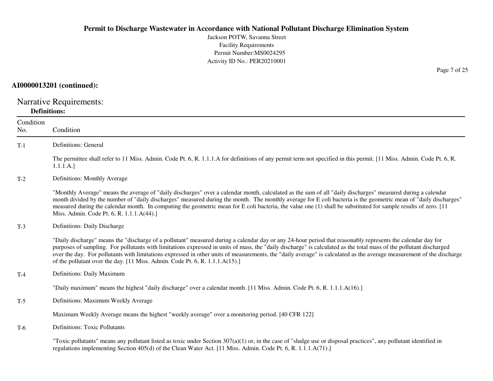Jackson POTW, Savanna StreetFacility Requirements Permit Number:MS0024295Activity ID No.: PER20210001

## **AI0000013201 (continued):**

Narrative Requirements: **Definitions:**

| Condition<br>No. | Condition                                                                                                                                                                                                                                                                                                                                                                                                                                                                                                                                                                                   |
|------------------|---------------------------------------------------------------------------------------------------------------------------------------------------------------------------------------------------------------------------------------------------------------------------------------------------------------------------------------------------------------------------------------------------------------------------------------------------------------------------------------------------------------------------------------------------------------------------------------------|
| $T-1$            | Definitions: General                                                                                                                                                                                                                                                                                                                                                                                                                                                                                                                                                                        |
|                  | The permittee shall refer to 11 Miss. Admin. Code Pt. 6, R. 1.1.1.A for definitions of any permit term not specified in this permit. [11 Miss. Admin. Code Pt. 6, R.<br>1.1.1.A.]                                                                                                                                                                                                                                                                                                                                                                                                           |
| $T-2$            | Definitions: Monthly Average                                                                                                                                                                                                                                                                                                                                                                                                                                                                                                                                                                |
|                  | "Monthly Average" means the average of "daily discharges" over a calendar month, calculated as the sum of all "daily discharges" measured during a calendar<br>month divided by the number of "daily discharges" measured during the month. The monthly average for E coli bacteria is the geometric mean of "daily discharges"<br>measured during the calendar month. In computing the geometric mean for E coli bacteria, the value one (1) shall be substituted for sample results of zero. [11]<br>Miss. Admin. Code Pt. 6, R. 1.1.1.A(44).]                                            |
| $T-3$            | Definitions: Daily Discharge                                                                                                                                                                                                                                                                                                                                                                                                                                                                                                                                                                |
|                  | "Daily discharge" means the "discharge of a pollutant" measured during a calendar day or any 24-hour period that reasonably represents the calendar day for<br>purposes of sampling. For pollutants with limitations expressed in units of mass, the "daily discharge" is calculated as the total mass of the pollutant discharged<br>over the day. For pollutants with limitations expressed in other units of measurements, the "daily average" is calculated as the average measurement of the discharge<br>of the pollutant over the day. [11 Miss. Admin. Code Pt. 6, R. 1.1.1.A(15).] |
| $T-4$            | Definitions: Daily Maximum                                                                                                                                                                                                                                                                                                                                                                                                                                                                                                                                                                  |
|                  | "Daily maximum" means the highest "daily discharge" over a calendar month. [11 Miss. Admin. Code Pt. 6, R. 1.1.1.A(16).]                                                                                                                                                                                                                                                                                                                                                                                                                                                                    |
| $T-5$            | Definitions: Maximum Weekly Average                                                                                                                                                                                                                                                                                                                                                                                                                                                                                                                                                         |
|                  | Maximum Weekly Average means the highest "weekly average" over a monitoring period. [40 CFR 122]                                                                                                                                                                                                                                                                                                                                                                                                                                                                                            |
| $T-6$            | <b>Definitions: Toxic Pollutants</b>                                                                                                                                                                                                                                                                                                                                                                                                                                                                                                                                                        |
|                  | "Toxic pollutants" means any pollutant listed as toxic under Section $307(a)(1)$ or, in the case of "sludge use or disposal practices", any pollutant identified in<br>regulations implementing Section 405(d) of the Clean Water Act. [11 Miss. Admin. Code Pt. 6, R. 1.1.1.A(71).]                                                                                                                                                                                                                                                                                                        |

Page 7 of 25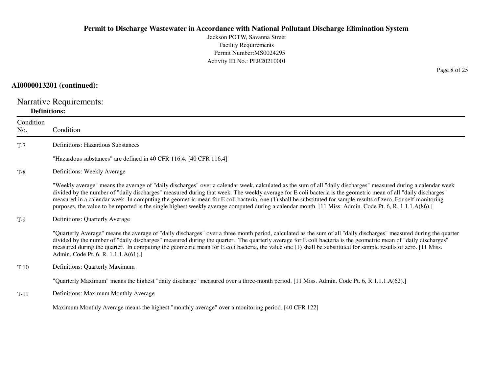Jackson POTW, Savanna StreetFacility Requirements Permit Number:MS0024295Activity ID No.: PER20210001

## **AI0000013201 (continued):**

Narrative Requirements: **Definitions:**

| Condition<br>No. | Condition                                                                                                                                                                                                                                                                                                                                                                                                                                                                                                                                                                                                                                                    |
|------------------|--------------------------------------------------------------------------------------------------------------------------------------------------------------------------------------------------------------------------------------------------------------------------------------------------------------------------------------------------------------------------------------------------------------------------------------------------------------------------------------------------------------------------------------------------------------------------------------------------------------------------------------------------------------|
| $T-7$            | <b>Definitions: Hazardous Substances</b>                                                                                                                                                                                                                                                                                                                                                                                                                                                                                                                                                                                                                     |
|                  | "Hazardous substances" are defined in 40 CFR 116.4. [40 CFR 116.4]                                                                                                                                                                                                                                                                                                                                                                                                                                                                                                                                                                                           |
| $T-8$            | Definitions: Weekly Average                                                                                                                                                                                                                                                                                                                                                                                                                                                                                                                                                                                                                                  |
|                  | "Weekly average" means the average of "daily discharges" over a calendar week, calculated as the sum of all "daily discharges" measured during a calendar week<br>divided by the number of "daily discharges" measured during that week. The weekly average for E coli bacteria is the geometric mean of all "daily discharges"<br>measured in a calendar week. In computing the geometric mean for E coli bacteria, one (1) shall be substituted for sample results of zero. For self-monitoring<br>purposes, the value to be reported is the single highest weekly average computed during a calendar month. [11 Miss. Admin. Code Pt. 6, R. 1.1.1.A(86).] |
| $T-9$            | Definitions: Quarterly Average                                                                                                                                                                                                                                                                                                                                                                                                                                                                                                                                                                                                                               |
|                  | "Quarterly Average" means the average of "daily discharges" over a three month period, calculated as the sum of all "daily discharges" measured during the quarter<br>divided by the number of "daily discharges" measured during the quarter. The quarterly average for E coli bacteria is the geometric mean of "daily discharges"<br>measured during the quarter. In computing the geometric mean for E coli bacteria, the value one (1) shall be substituted for sample results of zero. [11 Miss.<br>Admin. Code Pt. 6, R. 1.1.1.A(61).]                                                                                                                |
| $T-10$           | Definitions: Quarterly Maximum                                                                                                                                                                                                                                                                                                                                                                                                                                                                                                                                                                                                                               |
|                  | "Quarterly Maximum" means the highest "daily discharge" measured over a three-month period. [11 Miss. Admin. Code Pt. 6, R.1.1.1.A(62).]                                                                                                                                                                                                                                                                                                                                                                                                                                                                                                                     |
| $T-11$           | Definitions: Maximum Monthly Average                                                                                                                                                                                                                                                                                                                                                                                                                                                                                                                                                                                                                         |
|                  | Maximum Monthly Average means the highest "monthly average" over a monitoring period. [40 CFR 122]                                                                                                                                                                                                                                                                                                                                                                                                                                                                                                                                                           |

Page 8 of 25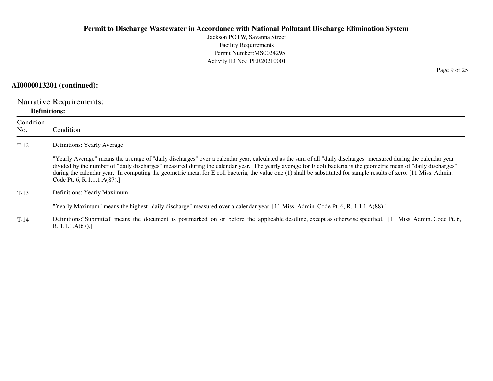Jackson POTW, Savanna StreetFacility Requirements Permit Number:MS0024295Activity ID No.: PER20210001

## **AI0000013201 (continued):**

Narrative Requirements:**Definitions:**

R. 1.1.1.A(67).]

| Condition<br>No. | Condition                                                                                                                                                                                                                                                                                                                                                                                                                                                                                                                                      |
|------------------|------------------------------------------------------------------------------------------------------------------------------------------------------------------------------------------------------------------------------------------------------------------------------------------------------------------------------------------------------------------------------------------------------------------------------------------------------------------------------------------------------------------------------------------------|
| $T-12$           | Definitions: Yearly Average                                                                                                                                                                                                                                                                                                                                                                                                                                                                                                                    |
|                  | "Yearly Average" means the average of "daily discharges" over a calendar year, calculated as the sum of all "daily discharges" measured during the calendar year<br>divided by the number of "daily discharges" measured during the calendar year. The yearly average for E coli bacteria is the geometric mean of "daily discharges"<br>during the calendar year. In computing the geometric mean for E coli bacteria, the value one (1) shall be substituted for sample results of zero. [11 Miss. Admin.<br>Code Pt. 6, R.1.1.1. $A(87)$ .] |
| $T-13$           | Definitions: Yearly Maximum                                                                                                                                                                                                                                                                                                                                                                                                                                                                                                                    |
|                  | "Yearly Maximum" means the highest "daily discharge" measured over a calendar year. [11 Miss. Admin. Code Pt. 6, R. 1.1.1.A(88).]                                                                                                                                                                                                                                                                                                                                                                                                              |
| $T-14$           | Definitions: "Submitted" means the document is postmarked on or before the applicable deadline, except as otherwise specified. [11 Miss. Admin. Code Pt. 6,                                                                                                                                                                                                                                                                                                                                                                                    |

Page 9 of 25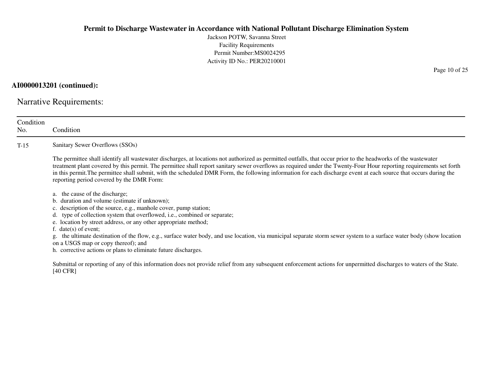Jackson POTW, Savanna StreetFacility Requirements Permit Number:MS0024295Activity ID No.: PER20210001

**AI0000013201 (continued):**

Narrative Requirements:

| Condition<br>No. | Condition                                                                                                                                                                                                                                                                                                                                                                                                                                                                                                                                                                                                                |
|------------------|--------------------------------------------------------------------------------------------------------------------------------------------------------------------------------------------------------------------------------------------------------------------------------------------------------------------------------------------------------------------------------------------------------------------------------------------------------------------------------------------------------------------------------------------------------------------------------------------------------------------------|
| $T-15$           | Sanitary Sewer Overflows (SSOs)                                                                                                                                                                                                                                                                                                                                                                                                                                                                                                                                                                                          |
|                  | The permittee shall identify all wastewater discharges, at locations not authorized as permitted outfalls, that occur prior to the headworks of the wastewater<br>treatment plant covered by this permit. The permittee shall report sanitary sewer overflows as required under the Twenty-Four Hour reporting requirements set forth<br>in this permit. The permittee shall submit, with the scheduled DMR Form, the following information for each discharge event at each source that occurs during the<br>reporting period covered by the DMR Form:                                                                  |
|                  | a. the cause of the discharge;<br>duration and volume (estimate if unknown);<br>b.<br>c. description of the source, e.g., manhole cover, pump station;<br>type of collection system that overflowed, i.e., combined or separate;<br>d.<br>e. location by street address, or any other appropriate method;<br>f. $date(s)$ of event;<br>the ultimate destination of the flow, e.g., surface water body, and use location, via municipal separate storm sewer system to a surface water body (show location<br>g.<br>on a USGS map or copy thereof); and<br>h. corrective actions or plans to eliminate future discharges. |
|                  | Submittal or reporting of any of this information does not provide relief from any subsequent enforcement actions for unpermitted discharges to waters of the State.<br>$[40 \text{ CFR}]$                                                                                                                                                                                                                                                                                                                                                                                                                               |
|                  |                                                                                                                                                                                                                                                                                                                                                                                                                                                                                                                                                                                                                          |

Page 10 of 25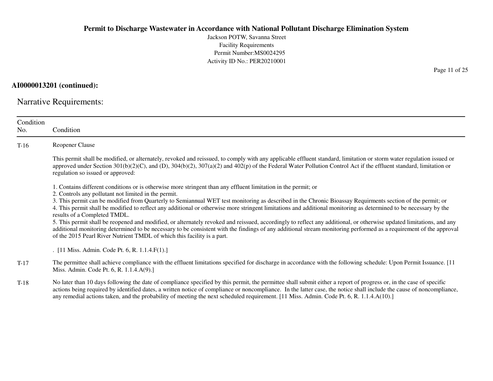Jackson POTW, Savanna StreetFacility Requirements Permit Number:MS0024295Activity ID No.: PER20210001

**AI0000013201 (continued):**

Narrative Requirements:

| Condition<br>No. | Condition                                                                                                                                                                                                                                                                                                                                                                                                                                                                                |
|------------------|------------------------------------------------------------------------------------------------------------------------------------------------------------------------------------------------------------------------------------------------------------------------------------------------------------------------------------------------------------------------------------------------------------------------------------------------------------------------------------------|
| $T-16$           | <b>Reopener Clause</b>                                                                                                                                                                                                                                                                                                                                                                                                                                                                   |
|                  | This permit shall be modified, or alternately, revoked and reissued, to comply with any applicable effluent standard, limitation or storm water regulation issued or<br>approved under Section $301(b)(2)(C)$ , and (D), $304(b)(2)$ , $307(a)(2)$ and $402(p)$ of the Federal Water Pollution Control Act if the effluent standard, limitation or<br>regulation so issued or approved:                                                                                                  |
|                  | 1. Contains different conditions or is otherwise more stringent than any effluent limitation in the permit; or                                                                                                                                                                                                                                                                                                                                                                           |
|                  | 2. Controls any pollutant not limited in the permit.<br>3. This permit can be modified from Quarterly to Semiannual WET test monitoring as described in the Chronic Bioassay Requirments section of the permit; or<br>4. This permit shall be modified to reflect any additional or otherwise more stringent limitations and additional monitoring as determined to be necessary by the<br>results of a Completed TMDL.                                                                  |
|                  | 5. This permit shall be reopened and modified, or alternately revoked and reissued, accordingly to reflect any additional, or otherwise updated limitations, and any<br>additional monitoring determined to be necessary to be consistent with the findings of any additional stream monitoring performed as a requirement of the approval<br>of the 2015 Pearl River Nutrient TMDL of which this facility is a part.                                                                    |
|                  | . [11 Miss. Admin. Code Pt. 6, R. 1.1.4.F(1).]                                                                                                                                                                                                                                                                                                                                                                                                                                           |
| $T-17$           | The permittee shall achieve compliance with the effluent limitations specified for discharge in accordance with the following schedule: Upon Permit Issuance. [11]<br>Miss. Admin. Code Pt. 6, R. 1.1.4.A(9).]                                                                                                                                                                                                                                                                           |
| $T-18$           | No later than 10 days following the date of compliance specified by this permit, the permittee shall submit either a report of progress or, in the case of specific<br>actions being required by identified dates, a written notice of compliance or noncompliance. In the latter case, the notice shall include the cause of noncompliance,<br>any remedial actions taken, and the probability of meeting the next scheduled requirement. [11 Miss. Admin. Code Pt. 6, R. 1.1.4.A(10).] |

Page 11 of 25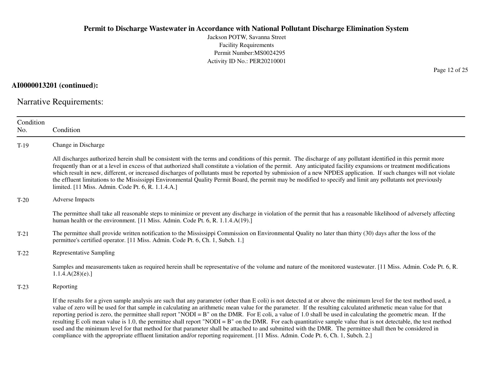Jackson POTW, Savanna StreetFacility Requirements Permit Number:MS0024295Activity ID No.: PER20210001

**AI0000013201 (continued):**

Narrative Requirements:

| Condition<br>No. | Condition                                                                                                                                                                                                                                                                                                                                                                                                                                                                                                                                                                                                                                                                                                                                                                                                                                                                                                                                                                         |
|------------------|-----------------------------------------------------------------------------------------------------------------------------------------------------------------------------------------------------------------------------------------------------------------------------------------------------------------------------------------------------------------------------------------------------------------------------------------------------------------------------------------------------------------------------------------------------------------------------------------------------------------------------------------------------------------------------------------------------------------------------------------------------------------------------------------------------------------------------------------------------------------------------------------------------------------------------------------------------------------------------------|
| $T-19$           | Change in Discharge                                                                                                                                                                                                                                                                                                                                                                                                                                                                                                                                                                                                                                                                                                                                                                                                                                                                                                                                                               |
|                  | All discharges authorized herein shall be consistent with the terms and conditions of this permit. The discharge of any pollutant identified in this permit more<br>frequently than or at a level in excess of that authorized shall constitute a violation of the permit. Any anticipated facility expansions or treatment modifications<br>which result in new, different, or increased discharges of pollutants must be reported by submission of a new NPDES application. If such changes will not violate<br>the effluent limitations to the Mississippi Environmental Quality Permit Board, the permit may be modified to specify and limit any pollutants not previously<br>limited. [11 Miss. Admin. Code Pt. 6, R. 1.1.4.A.]                                                                                                                                                                                                                                             |
| $T-20$           | <b>Adverse Impacts</b>                                                                                                                                                                                                                                                                                                                                                                                                                                                                                                                                                                                                                                                                                                                                                                                                                                                                                                                                                            |
|                  | The permittee shall take all reasonable steps to minimize or prevent any discharge in violation of the permit that has a reasonable likelihood of adversely affecting<br>human health or the environment. [11 Miss. Admin. Code Pt. 6, R. 1.1.4.A(19).]                                                                                                                                                                                                                                                                                                                                                                                                                                                                                                                                                                                                                                                                                                                           |
| $T-21$           | The permittee shall provide written notification to the Mississippi Commission on Environmental Quality no later than thirty (30) days after the loss of the<br>permittee's certified operator. [11 Miss. Admin. Code Pt. 6, Ch. 1, Subch. 1.]                                                                                                                                                                                                                                                                                                                                                                                                                                                                                                                                                                                                                                                                                                                                    |
| $T-22$           | <b>Representative Sampling</b>                                                                                                                                                                                                                                                                                                                                                                                                                                                                                                                                                                                                                                                                                                                                                                                                                                                                                                                                                    |
|                  | Samples and measurements taken as required herein shall be representative of the volume and nature of the monitored wastewater. [11 Miss. Admin. Code Pt. 6, R.<br>1.1.4.A(28)(e).                                                                                                                                                                                                                                                                                                                                                                                                                                                                                                                                                                                                                                                                                                                                                                                                |
| $T-23$           | Reporting                                                                                                                                                                                                                                                                                                                                                                                                                                                                                                                                                                                                                                                                                                                                                                                                                                                                                                                                                                         |
|                  | If the results for a given sample analysis are such that any parameter (other than E coli) is not detected at or above the minimum level for the test method used, a<br>value of zero will be used for that sample in calculating an arithmetic mean value for the parameter. If the resulting calculated arithmetic mean value for that<br>reporting period is zero, the permittee shall report "NODI = $B$ " on the DMR. For E coli, a value of 1.0 shall be used in calculating the geometric mean. If the<br>resulting E coli mean value is 1.0, the permittee shall report "NODI = B" on the DMR. For each quantitative sample value that is not detectable, the test method<br>used and the minimum level for that method for that parameter shall be attached to and submitted with the DMR. The permittee shall then be considered in<br>compliance with the appropriate effluent limitation and/or reporting requirement. [11 Miss. Admin. Code Pt. 6, Ch. 1, Subch. 2.] |

Page 12 of 25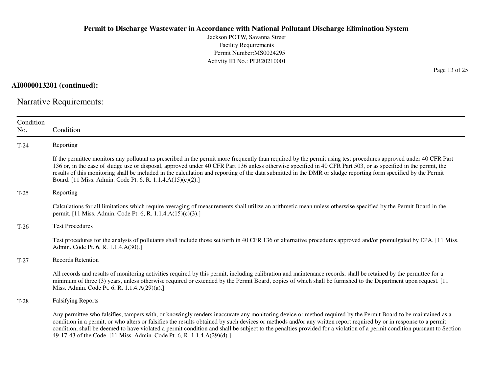Jackson POTW, Savanna StreetFacility Requirements Permit Number:MS0024295Activity ID No.: PER20210001

**AI0000013201 (continued):**

Narrative Requirements:

| Condition<br>No. | Condition                                                                                                                                                                                                                                                                                                                                                                                                                                                                                                                                                                                |
|------------------|------------------------------------------------------------------------------------------------------------------------------------------------------------------------------------------------------------------------------------------------------------------------------------------------------------------------------------------------------------------------------------------------------------------------------------------------------------------------------------------------------------------------------------------------------------------------------------------|
| $T-24$           | Reporting                                                                                                                                                                                                                                                                                                                                                                                                                                                                                                                                                                                |
|                  | If the permittee monitors any pollutant as prescribed in the permit more frequently than required by the permit using test procedures approved under 40 CFR Part<br>136 or, in the case of sludge use or disposal, approved under 40 CFR Part 136 unless otherwise specified in 40 CFR Part 503, or as specified in the permit, the<br>results of this monitoring shall be included in the calculation and reporting of the data submitted in the DMR or sludge reporting form specified by the Permit<br>Board. [11 Miss. Admin. Code Pt. 6, R. 1.1.4.A(15)(c)(2).]                     |
| $T-25$           | Reporting                                                                                                                                                                                                                                                                                                                                                                                                                                                                                                                                                                                |
|                  | Calculations for all limitations which require averaging of measurements shall utilize an arithmetic mean unless otherwise specified by the Permit Board in the<br>permit. [11 Miss. Admin. Code Pt. 6, R. 1.1.4.A(15)(c)(3).]                                                                                                                                                                                                                                                                                                                                                           |
| $T-26$           | <b>Test Procedures</b>                                                                                                                                                                                                                                                                                                                                                                                                                                                                                                                                                                   |
|                  | Test procedures for the analysis of pollutants shall include those set forth in 40 CFR 136 or alternative procedures approved and/or promulgated by EPA. [11 Miss.]<br>Admin. Code Pt. 6, R. 1.1.4.A(30).]                                                                                                                                                                                                                                                                                                                                                                               |
| $T-27$           | <b>Records Retention</b>                                                                                                                                                                                                                                                                                                                                                                                                                                                                                                                                                                 |
|                  | All records and results of monitoring activities required by this permit, including calibration and maintenance records, shall be retained by the permittee for a<br>minimum of three (3) years, unless otherwise required or extended by the Permit Board, copies of which shall be furnished to the Department upon request. [11]<br>Miss. Admin. Code Pt. 6, R. 1.1.4.A(29)(a).]                                                                                                                                                                                                      |
| $T-28$           | <b>Falsifying Reports</b>                                                                                                                                                                                                                                                                                                                                                                                                                                                                                                                                                                |
|                  | Any permittee who falsifies, tampers with, or knowingly renders inaccurate any monitoring device or method required by the Permit Board to be maintained as a<br>condition in a permit, or who alters or falsifies the results obtained by such devices or methods and/or any written report required by or in response to a permit<br>condition, shall be deemed to have violated a permit condition and shall be subject to the penalties provided for a violation of a permit condition pursuant to Section<br>49-17-43 of the Code. [11 Miss. Admin. Code Pt. 6, R. 1.1.4.A(29)(d).] |

Page 13 of 25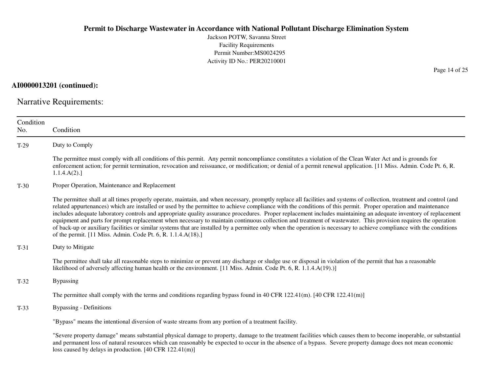Jackson POTW, Savanna StreetFacility Requirements Permit Number:MS0024295Activity ID No.: PER20210001

**AI0000013201 (continued):**

Narrative Requirements:

| Condition<br>No. | Condition                                                                                                                                                                                                                                                                                                                                                                                                                                                                                                                                                                                                                                                                                                                                                                                                                                                                                                                |
|------------------|--------------------------------------------------------------------------------------------------------------------------------------------------------------------------------------------------------------------------------------------------------------------------------------------------------------------------------------------------------------------------------------------------------------------------------------------------------------------------------------------------------------------------------------------------------------------------------------------------------------------------------------------------------------------------------------------------------------------------------------------------------------------------------------------------------------------------------------------------------------------------------------------------------------------------|
| $T-29$           | Duty to Comply                                                                                                                                                                                                                                                                                                                                                                                                                                                                                                                                                                                                                                                                                                                                                                                                                                                                                                           |
|                  | The permittee must comply with all conditions of this permit. Any permit noncompliance constitutes a violation of the Clean Water Act and is grounds for<br>enforcement action; for permit termination, revocation and reissuance, or modification; or denial of a permit renewal application. [11 Miss. Admin. Code Pt. 6, R.<br>1.1.4.A(2).                                                                                                                                                                                                                                                                                                                                                                                                                                                                                                                                                                            |
| $T-30$           | Proper Operation, Maintenance and Replacement                                                                                                                                                                                                                                                                                                                                                                                                                                                                                                                                                                                                                                                                                                                                                                                                                                                                            |
|                  | The permittee shall at all times properly operate, maintain, and when necessary, promptly replace all facilities and systems of collection, treatment and control (and<br>related appurtenances) which are installed or used by the permittee to achieve compliance with the conditions of this permit. Proper operation and maintenance<br>includes adequate laboratory controls and appropriate quality assurance procedures. Proper replacement includes maintaining an adequate inventory of replacement<br>equipment and parts for prompt replacement when necessary to maintain continuous collection and treatment of wastewater. This provision requires the operation<br>of back-up or auxiliary facilities or similar systems that are installed by a permittee only when the operation is necessary to achieve compliance with the conditions<br>of the permit. [11 Miss. Admin. Code Pt. 6, R. 1.1.4.A(18).] |
| $T-31$           | Duty to Mitigate                                                                                                                                                                                                                                                                                                                                                                                                                                                                                                                                                                                                                                                                                                                                                                                                                                                                                                         |
|                  | The permittee shall take all reasonable steps to minimize or prevent any discharge or sludge use or disposal in violation of the permit that has a reasonable<br>likelihood of adversely affecting human health or the environment. [11 Miss. Admin. Code Pt. 6, R. 1.1.4.A(19).)]                                                                                                                                                                                                                                                                                                                                                                                                                                                                                                                                                                                                                                       |
| $T-32$           | <b>Bypassing</b>                                                                                                                                                                                                                                                                                                                                                                                                                                                                                                                                                                                                                                                                                                                                                                                                                                                                                                         |
|                  | The permittee shall comply with the terms and conditions regarding bypass found in 40 CFR 122.41(m). [40 CFR 122.41(m)]                                                                                                                                                                                                                                                                                                                                                                                                                                                                                                                                                                                                                                                                                                                                                                                                  |
| $T-33$           | <b>Bypassing - Definitions</b>                                                                                                                                                                                                                                                                                                                                                                                                                                                                                                                                                                                                                                                                                                                                                                                                                                                                                           |
|                  | "Bypass" means the intentional diversion of waste streams from any portion of a treatment facility.                                                                                                                                                                                                                                                                                                                                                                                                                                                                                                                                                                                                                                                                                                                                                                                                                      |
|                  | "Severe property damage" means substantial physical damage to property, damage to the treatment facilities which causes them to become inoperable, or substantial<br>and permanent loss of natural resources which can reasonably be expected to occur in the absence of a bypass. Severe property damage does not mean economic                                                                                                                                                                                                                                                                                                                                                                                                                                                                                                                                                                                         |

loss caused by delays in production. [40 CFR 122.41(m)]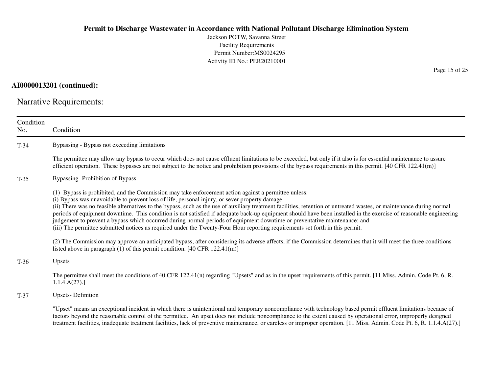Jackson POTW, Savanna StreetFacility Requirements Permit Number:MS0024295Activity ID No.: PER20210001

## **AI0000013201 (continued):**

Narrative Requirements:

| Condition<br>No. | Condition                                                                                                                                                                                                                                                                                                                                                                                                                                                                                                                                                                                                                                                                                                                                                                                                          |
|------------------|--------------------------------------------------------------------------------------------------------------------------------------------------------------------------------------------------------------------------------------------------------------------------------------------------------------------------------------------------------------------------------------------------------------------------------------------------------------------------------------------------------------------------------------------------------------------------------------------------------------------------------------------------------------------------------------------------------------------------------------------------------------------------------------------------------------------|
| $T-34$           | Bypassing - Bypass not exceeding limitations                                                                                                                                                                                                                                                                                                                                                                                                                                                                                                                                                                                                                                                                                                                                                                       |
|                  | The permittee may allow any bypass to occur which does not cause effluent limitations to be exceeded, but only if it also is for essential maintenance to assure<br>efficient operation. These bypasses are not subject to the notice and prohibition provisions of the bypass requirements in this permit. $[40 \text{ CFR } 122.41 \text{ (m)}]$                                                                                                                                                                                                                                                                                                                                                                                                                                                                 |
| $T-35$           | Bypassing-Prohibition of Bypass                                                                                                                                                                                                                                                                                                                                                                                                                                                                                                                                                                                                                                                                                                                                                                                    |
|                  | (1) Bypass is prohibited, and the Commission may take enforcement action against a permittee unless:<br>(i) Bypass was unavoidable to prevent loss of life, personal injury, or sever property damage.<br>(ii) There was no feasible alternatives to the bypass, such as the use of auxiliary treatment facilities, retention of untreated wastes, or maintenance during normal<br>periods of equipment downtime. This condition is not satisfied if adequate back-up equipment should have been installed in the exercise of reasonable engineering<br>judgement to prevent a bypass which occurred during normal periods of equipment downtime or preventative maintenance; and<br>(iii) The permittee submitted notices as required under the Twenty-Four Hour reporting requirements set forth in this permit. |
|                  | (2) The Commission may approve an anticipated bypass, after considering its adverse affects, if the Commission determines that it will meet the three conditions<br>listed above in paragraph $(1)$ of this permit condition. [40 CFR 122.41(m)]                                                                                                                                                                                                                                                                                                                                                                                                                                                                                                                                                                   |
| $T-36$           | Upsets                                                                                                                                                                                                                                                                                                                                                                                                                                                                                                                                                                                                                                                                                                                                                                                                             |
|                  | The permittee shall meet the conditions of 40 CFR 122.41(n) regarding "Upsets" and as in the upset requirements of this permit. [11 Miss. Admin. Code Pt. 6, R.<br>1.1.4.A(27).                                                                                                                                                                                                                                                                                                                                                                                                                                                                                                                                                                                                                                    |
| $T-37$           | <b>Upsets-Definition</b>                                                                                                                                                                                                                                                                                                                                                                                                                                                                                                                                                                                                                                                                                                                                                                                           |
|                  | "Upset" means an exceptional incident in which there is unintentional and temporary noncompliance with technology based permit effluent limitations because of<br>factors beyond the reasonable control of the permittee. An upset does not include noncompliance to the extent caused by operational error, improperly designed<br>treatment facilities, inadequate treatment facilities, lack of preventive maintenance, or careless or improper operation. [11 Miss. Admin. Code Pt. 6, R. 1.1.4.A(27).]                                                                                                                                                                                                                                                                                                        |

Page 15 of 25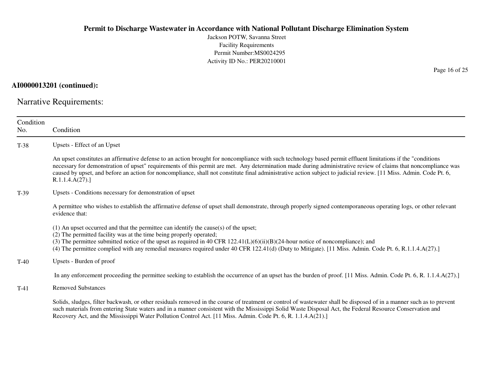Jackson POTW, Savanna StreetFacility Requirements Permit Number:MS0024295Activity ID No.: PER20210001

**AI0000013201 (continued):**

Narrative Requirements:

| Condition<br>No.                   | Condition                                                                                                                                                                                                                                                                                                                                                                                                                                                                                                                |
|------------------------------------|--------------------------------------------------------------------------------------------------------------------------------------------------------------------------------------------------------------------------------------------------------------------------------------------------------------------------------------------------------------------------------------------------------------------------------------------------------------------------------------------------------------------------|
| $T-38$                             | Upsets - Effect of an Upset                                                                                                                                                                                                                                                                                                                                                                                                                                                                                              |
|                                    | An upset constitutes an affirmative defense to an action brought for noncompliance with such technology based permit effluent limitations if the "conditions"<br>necessary for demonstration of upset" requirements of this permit are met. Any determination made during administrative review of claims that noncompliance was<br>caused by upset, and before an action for noncompliance, shall not constitute final administrative action subject to judicial review. [11 Miss. Admin. Code Pt. 6,<br>R.1.1.4.A(27). |
| $T-39$                             | Upsets - Conditions necessary for demonstration of upset                                                                                                                                                                                                                                                                                                                                                                                                                                                                 |
|                                    | A permittee who wishes to establish the affirmative defense of upset shall demonstrate, through properly signed contemporaneous operating logs, or other relevant<br>evidence that:                                                                                                                                                                                                                                                                                                                                      |
|                                    | $(1)$ An upset occurred and that the permittee can identify the cause(s) of the upset;<br>(2) The permitted facility was at the time being properly operated;<br>(3) The permittee submitted notice of the upset as required in 40 CFR $122.41(L)(6)(ii)(B)(24$ -hour notice of noncompliance); and<br>(4) The permittee complied with any remedial measures required under 40 CFR 122.41(d) (Duty to Mitigate). [11 Miss. Admin. Code Pt. 6, R.1.1.4.A(27).]                                                            |
| Upsets - Burden of proof<br>$T-40$ |                                                                                                                                                                                                                                                                                                                                                                                                                                                                                                                          |
|                                    | In any enforcement proceeding the permittee seeking to establish the occurrence of an upset has the burden of proof. [11 Miss. Admin. Code Pt. 6, R. 1.1.4.A(27).]                                                                                                                                                                                                                                                                                                                                                       |
| $T-41$                             | <b>Removed Substances</b>                                                                                                                                                                                                                                                                                                                                                                                                                                                                                                |
|                                    | Solids, sludges, filter backwash, or other residuals removed in the course of treatment or control of wastewater shall be disposed of in a manner such as to prevent<br>such materials from entering State waters and in a manner consistent with the Mississippi Solid Waste Disposal Act, the Federal Resource Conservation and<br>Recovery Act, and the Mississippi Water Pollution Control Act. [11 Miss. Admin. Code Pt. 6, R. 1.1.4.A(21).]                                                                        |

Page 16 of 25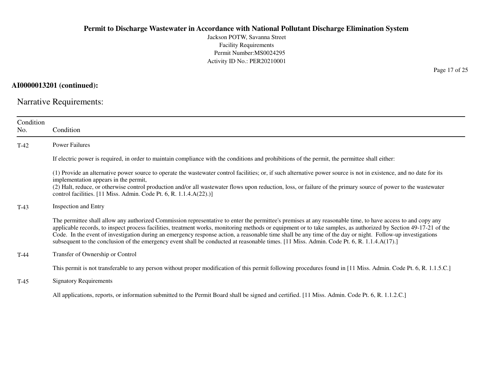Jackson POTW, Savanna StreetFacility Requirements Permit Number:MS0024295Activity ID No.: PER20210001

**AI0000013201 (continued):**

Narrative Requirements:

| Condition<br>No. | Condition                                                                                                                                                                                                                                                                                                                                                                                                                                                                                                                                                                                                                                  |
|------------------|--------------------------------------------------------------------------------------------------------------------------------------------------------------------------------------------------------------------------------------------------------------------------------------------------------------------------------------------------------------------------------------------------------------------------------------------------------------------------------------------------------------------------------------------------------------------------------------------------------------------------------------------|
| $T-42$           | <b>Power Failures</b>                                                                                                                                                                                                                                                                                                                                                                                                                                                                                                                                                                                                                      |
|                  | If electric power is required, in order to maintain compliance with the conditions and prohibitions of the permit, the permittee shall either:                                                                                                                                                                                                                                                                                                                                                                                                                                                                                             |
|                  | (1) Provide an alternative power source to operate the wastewater control facilities; or, if such alternative power source is not in existence, and no date for its<br>implementation appears in the permit,<br>(2) Halt, reduce, or otherwise control production and/or all wastewater flows upon reduction, loss, or failure of the primary source of power to the wastewater<br>control facilities. $[11$ Miss. Admin. Code Pt. 6, R. $1.1.4.A(22).)]$                                                                                                                                                                                  |
| $T-43$           | <b>Inspection and Entry</b>                                                                                                                                                                                                                                                                                                                                                                                                                                                                                                                                                                                                                |
|                  | The permittee shall allow any authorized Commission representative to enter the permittee's premises at any reasonable time, to have access to and copy any<br>applicable records, to inspect process facilities, treatment works, monitoring methods or equipment or to take samples, as authorized by Section 49-17-21 of the<br>Code. In the event of investigation during an emergency response action, a reasonable time shall be any time of the day or night. Follow-up investigations<br>subsequent to the conclusion of the emergency event shall be conducted at reasonable times. [11 Miss. Admin. Code Pt. 6, R. 1.1.4.A(17).] |
| $T-44$           | Transfer of Ownership or Control                                                                                                                                                                                                                                                                                                                                                                                                                                                                                                                                                                                                           |
|                  | This permit is not transferable to any person without proper modification of this permit following procedures found in [11 Miss. Admin. Code Pt. 6, R. 1.1.5.C.]                                                                                                                                                                                                                                                                                                                                                                                                                                                                           |
| $T-45$           | <b>Signatory Requirements</b>                                                                                                                                                                                                                                                                                                                                                                                                                                                                                                                                                                                                              |
|                  | All applications, reports, or information submitted to the Permit Board shall be signed and certified. [11 Miss. Admin. Code Pt. 6, R. 1.1.2.C.]                                                                                                                                                                                                                                                                                                                                                                                                                                                                                           |

Page 17 of 25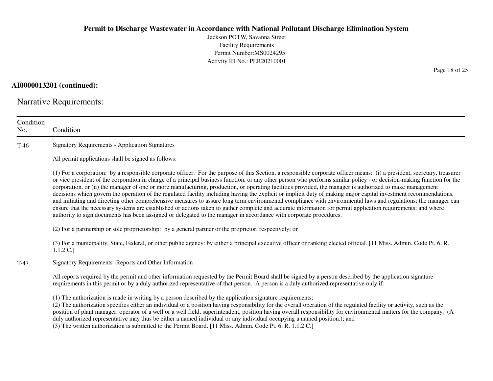Jackson POTW, Savanna StreetFacility Requirements Permit Number:MS0024295Activity ID No.: PER20210001

**AI0000013201 (continued):**

Narrative Requirements:

| Condition<br>No. | Condition                                                                                                                                                                                                                                                                                                                                                                                                                                                                                                                                                                                                                                                                                                                                                                                                                                                                                                                                                                                                                                                                                                                                      |
|------------------|------------------------------------------------------------------------------------------------------------------------------------------------------------------------------------------------------------------------------------------------------------------------------------------------------------------------------------------------------------------------------------------------------------------------------------------------------------------------------------------------------------------------------------------------------------------------------------------------------------------------------------------------------------------------------------------------------------------------------------------------------------------------------------------------------------------------------------------------------------------------------------------------------------------------------------------------------------------------------------------------------------------------------------------------------------------------------------------------------------------------------------------------|
| $T-46$           | <b>Signatory Requirements - Application Signatures</b>                                                                                                                                                                                                                                                                                                                                                                                                                                                                                                                                                                                                                                                                                                                                                                                                                                                                                                                                                                                                                                                                                         |
|                  | All permit applications shall be signed as follows:                                                                                                                                                                                                                                                                                                                                                                                                                                                                                                                                                                                                                                                                                                                                                                                                                                                                                                                                                                                                                                                                                            |
|                  | (1) For a corporation: by a responsible corporate officer. For the purpose of this Section, a responsible corporate officer means: (i) a president, secretary, treasurer<br>or vice president of the corporation in charge of a principal business function, or any other person who performs similar policy - or decision-making function for the<br>corporation, or (ii) the manager of one or more manufacturing, production, or operating facilities provided, the manager is authorized to make management<br>decisions which govern the operation of the regulated facility including having the explicit or implicit duty of making major capital investment recommendations,<br>and initiating and directing other comprehensive measures to assure long term environmental compliance with environmental laws and regulations; the manager can<br>ensure that the necessary systems are established or actions taken to gather complete and accurate information for permit application requirements; and where<br>authority to sign documents has been assigned or delegated to the manager in accordance with corporate procedures. |
|                  | (2) For a partnership or sole proprietorship: by a general partner or the proprietor, respectively; or                                                                                                                                                                                                                                                                                                                                                                                                                                                                                                                                                                                                                                                                                                                                                                                                                                                                                                                                                                                                                                         |
|                  | (3) For a municipality, State, Federal, or other public agency: by either a principal executive officer or ranking elected official. [11 Miss. Admin. Code Pt. 6, R.<br>1.1.2.C.]                                                                                                                                                                                                                                                                                                                                                                                                                                                                                                                                                                                                                                                                                                                                                                                                                                                                                                                                                              |
| $T-47$           | Signatory Requirements - Reports and Other Information                                                                                                                                                                                                                                                                                                                                                                                                                                                                                                                                                                                                                                                                                                                                                                                                                                                                                                                                                                                                                                                                                         |
|                  | All reports required by the permit and other information requested by the Permit Board shall be signed by a person described by the application signature<br>requirements in this permit or by a duly authorized representative of that person. A person is a duly authorized representative only if:                                                                                                                                                                                                                                                                                                                                                                                                                                                                                                                                                                                                                                                                                                                                                                                                                                          |
|                  | (1) The authorization is made in writing by a person described by the application signature requirements;<br>(2) The authorization specifies either an individual or a position having responsibility for the overall operation of the regulated facility or activity, such as the<br>position of plant manager, operator of a well or a well field, superintendent, position having overall responsibility for environmental matters for the company. (A<br>duly authorized representative may thus be either a named individual or any individual occupying a named position.); and<br>(3) The written authorization is submitted to the Permit Board. [11 Miss. Admin. Code Pt. 6, R. 1.1.2.C.]                                                                                                                                                                                                                                                                                                                                                                                                                                             |

Page 18 of 25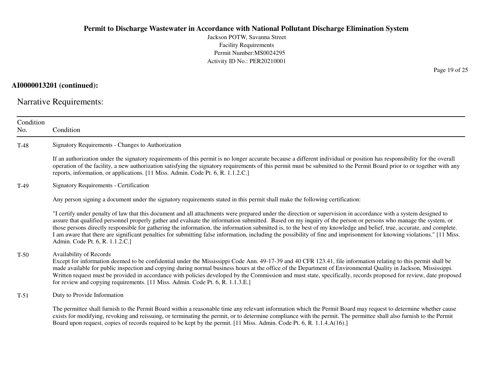Jackson POTW, Savanna StreetFacility Requirements Permit Number:MS0024295Activity ID No.: PER20210001

## **AI0000013201 (continued):**

Narrative Requirements:

| Condition<br>No. | Condition                                                                                                                                                                                                                                                                                                                                                                                                                                                                                                                                                                                                                                                                                                                |
|------------------|--------------------------------------------------------------------------------------------------------------------------------------------------------------------------------------------------------------------------------------------------------------------------------------------------------------------------------------------------------------------------------------------------------------------------------------------------------------------------------------------------------------------------------------------------------------------------------------------------------------------------------------------------------------------------------------------------------------------------|
| $T-48$           | Signatory Requirements - Changes to Authorization                                                                                                                                                                                                                                                                                                                                                                                                                                                                                                                                                                                                                                                                        |
|                  | If an authorization under the signatory requirements of this permit is no longer accurate because a different individual or position has responsibility for the overall<br>operation of the facility, a new authorization satisfying the signatory requirements of this permit must be submitted to the Permit Board prior to or together with any<br>reports, information, or applications. [11 Miss. Admin. Code Pt. 6, R. 1.1.2.C.]                                                                                                                                                                                                                                                                                   |
| $T-49$           | <b>Signatory Requirements - Certification</b>                                                                                                                                                                                                                                                                                                                                                                                                                                                                                                                                                                                                                                                                            |
|                  | Any person signing a document under the signatory requirements stated in this permit shall make the following certification:                                                                                                                                                                                                                                                                                                                                                                                                                                                                                                                                                                                             |
|                  | "I certify under penalty of law that this document and all attachments were prepared under the direction or supervision in accordance with a system designed to<br>assure that qualified personnel properly gather and evaluate the information submitted. Based on my inquiry of the person or persons who manage the system, or<br>those persons directly responsible for gathering the information, the information submitted is, to the best of my knowledge and belief, true, accurate, and complete.<br>I am aware that there are significant penalties for submitting false information, including the possibility of fine and imprisonment for knowing violations." [11 Miss.<br>Admin. Code Pt. 6, R. 1.1.2.C.] |
| $T-50$           | Availability of Records<br>Except for information deemed to be confidential under the Mississippi Code Ann. 49-17-39 and 40 CFR 123.41, file information relating to this permit shall be<br>made available for public inspection and copying during normal business hours at the office of the Department of Environmental Quality in Jackson, Mississippi.<br>Written request must be provided in accordance with policies developed by the Commission and must state, specifically, records proposed for review, date proposed<br>for review and copying requirements. [11 Miss. Admin. Code Pt. 6, R. 1.1.3.E.]                                                                                                      |
| $T-51$           | Duty to Provide Information                                                                                                                                                                                                                                                                                                                                                                                                                                                                                                                                                                                                                                                                                              |
|                  | The permittee shall furnish to the Permit Board within a reasonable time any relevant information which the Permit Board may request to determine whether cause<br>exists for modifying, revoking and reissuing, or terminating the permit, or to determine compliance with the permit. The permittee shall also furnish to the Permit<br>Board upon request, copies of records required to be kept by the permit. [11 Miss. Admin. Code Pt. 6, R. 1.1.4.A(16).]                                                                                                                                                                                                                                                         |

Page 19 of 25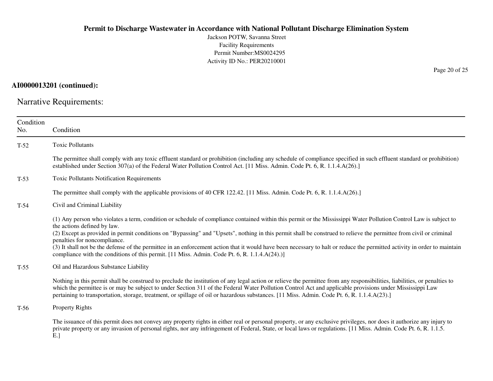Jackson POTW, Savanna StreetFacility Requirements Permit Number:MS0024295Activity ID No.: PER20210001

**AI0000013201 (continued):**

Narrative Requirements:

| Condition<br>No. | Condition                                                                                                                                                                                                                                                                                                                                                                                                                                                                                                                                                                                                                                                                            |
|------------------|--------------------------------------------------------------------------------------------------------------------------------------------------------------------------------------------------------------------------------------------------------------------------------------------------------------------------------------------------------------------------------------------------------------------------------------------------------------------------------------------------------------------------------------------------------------------------------------------------------------------------------------------------------------------------------------|
| $T-52$           | <b>Toxic Pollutants</b>                                                                                                                                                                                                                                                                                                                                                                                                                                                                                                                                                                                                                                                              |
|                  | The permittee shall comply with any toxic effluent standard or prohibition (including any schedule of compliance specified in such effluent standard or prohibition)<br>established under Section 307(a) of the Federal Water Pollution Control Act. [11 Miss. Admin. Code Pt. 6, R. 1.1.4.A(26).]                                                                                                                                                                                                                                                                                                                                                                                   |
| $T-53$           | <b>Toxic Pollutants Notification Requirements</b>                                                                                                                                                                                                                                                                                                                                                                                                                                                                                                                                                                                                                                    |
|                  | The permittee shall comply with the applicable provisions of 40 CFR 122.42. [11 Miss. Admin. Code Pt. 6, R. 1.1.4.A(26).]                                                                                                                                                                                                                                                                                                                                                                                                                                                                                                                                                            |
| $T-54$           | Civil and Criminal Liability                                                                                                                                                                                                                                                                                                                                                                                                                                                                                                                                                                                                                                                         |
|                  | (1) Any person who violates a term, condition or schedule of compliance contained within this permit or the Mississippi Water Pollution Control Law is subject to<br>the actions defined by law.<br>(2) Except as provided in permit conditions on "Bypassing" and "Upsets", nothing in this permit shall be construed to relieve the permittee from civil or criminal<br>penalties for noncompliance.<br>(3) It shall not be the defense of the permittee in an enforcement action that it would have been necessary to halt or reduce the permitted activity in order to maintain<br>compliance with the conditions of this permit. [11 Miss. Admin. Code Pt. 6, R. 1.1.4.A(24).)] |
| $T-55$           | Oil and Hazardous Substance Liability                                                                                                                                                                                                                                                                                                                                                                                                                                                                                                                                                                                                                                                |
|                  | Nothing in this permit shall be construed to preclude the institution of any legal action or relieve the permittee from any responsibilities, liabilities, or penalties to<br>which the permittee is or may be subject to under Section 311 of the Federal Water Pollution Control Act and applicable provisions under Mississippi Law<br>pertaining to transportation, storage, treatment, or spillage of oil or hazardous substances. [11 Miss. Admin. Code Pt. 6, R. 1.1.4.A(23).]                                                                                                                                                                                                |
| $T-56$           | <b>Property Rights</b>                                                                                                                                                                                                                                                                                                                                                                                                                                                                                                                                                                                                                                                               |
|                  | The issuance of this permit does not convey any property rights in either real or personal property, or any exclusive privileges, nor does it authorize any injury to<br>private property or any invasion of personal rights, nor any infringement of Federal, State, or local laws or regulations. [11 Miss. Admin. Code Pt. 6, R. 1.1.5.]<br>$E.$ ]                                                                                                                                                                                                                                                                                                                                |

Page 20 of 25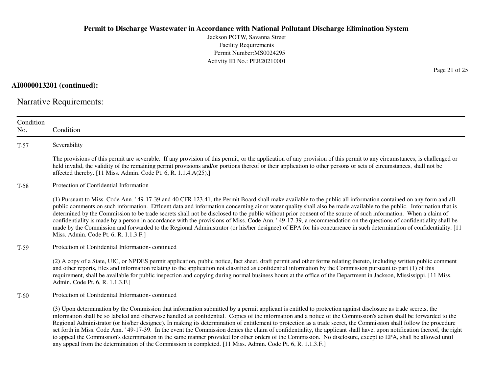Jackson POTW, Savanna StreetFacility Requirements Permit Number:MS0024295Activity ID No.: PER20210001

**AI0000013201 (continued):**

Narrative Requirements:

| Condition<br>No. | Condition                                                                                                                                                                                                                                                                                                                                                                                                                                                                                                                                                                                                                                                                                                                                                                                                                                                                                                                                                            |
|------------------|----------------------------------------------------------------------------------------------------------------------------------------------------------------------------------------------------------------------------------------------------------------------------------------------------------------------------------------------------------------------------------------------------------------------------------------------------------------------------------------------------------------------------------------------------------------------------------------------------------------------------------------------------------------------------------------------------------------------------------------------------------------------------------------------------------------------------------------------------------------------------------------------------------------------------------------------------------------------|
| $T-57$           | Severability                                                                                                                                                                                                                                                                                                                                                                                                                                                                                                                                                                                                                                                                                                                                                                                                                                                                                                                                                         |
|                  | The provisions of this permit are severable. If any provision of this permit, or the application of any provision of this permit to any circumstances, is challenged or<br>held invalid, the validity of the remaining permit provisions and/or portions thereof or their application to other persons or sets of circumstances, shall not be<br>affected thereby. [11 Miss. Admin. Code Pt. 6, R. 1.1.4.A(25).]                                                                                                                                                                                                                                                                                                                                                                                                                                                                                                                                                     |
| $T-58$           | Protection of Confidential Information                                                                                                                                                                                                                                                                                                                                                                                                                                                                                                                                                                                                                                                                                                                                                                                                                                                                                                                               |
|                  | (1) Pursuant to Miss. Code Ann. '49-17-39 and 40 CFR 123.41, the Permit Board shall make available to the public all information contained on any form and all<br>public comments on such information. Effluent data and information concerning air or water quality shall also be made available to the public. Information that is<br>determined by the Commission to be trade secrets shall not be disclosed to the public without prior consent of the source of such information. When a claim of<br>confidentiality is made by a person in accordance with the provisions of Miss. Code Ann. '49-17-39, a recommendation on the questions of confidentiality shall be<br>made by the Commission and forwarded to the Regional Administrator (or his/her designee) of EPA for his concurrence in such determination of confidentiality. [11]<br>Miss. Admin. Code Pt. 6, R. 1.1.3.F.]                                                                           |
| $T-59$           | Protection of Confidential Information-continued                                                                                                                                                                                                                                                                                                                                                                                                                                                                                                                                                                                                                                                                                                                                                                                                                                                                                                                     |
|                  | (2) A copy of a State, UIC, or NPDES permit application, public notice, fact sheet, draft permit and other forms relating thereto, including written public comment<br>and other reports, files and information relating to the application not classified as confidential information by the Commission pursuant to part (1) of this<br>requirement, shall be available for public inspection and copying during normal business hours at the office of the Department in Jackson, Mississippi. [11 Miss.]<br>Admin. Code Pt. 6, R. 1.1.3.F.]                                                                                                                                                                                                                                                                                                                                                                                                                       |
| $T-60$           | Protection of Confidential Information-continued                                                                                                                                                                                                                                                                                                                                                                                                                                                                                                                                                                                                                                                                                                                                                                                                                                                                                                                     |
|                  | (3) Upon determination by the Commission that information submitted by a permit applicant is entitled to protection against disclosure as trade secrets, the<br>information shall be so labeled and otherwise handled as confidential. Copies of the information and a notice of the Commission's action shall be forwarded to the<br>Regional Administrator (or his/her designee). In making its determination of entitlement to protection as a trade secret, the Commission shall follow the procedure<br>set forth in Miss. Code Ann. '49-17-39. In the event the Commission denies the claim of confidentiality, the applicant shall have, upon notification thereof, the right<br>to appeal the Commission's determination in the same manner provided for other orders of the Commission. No disclosure, except to EPA, shall be allowed until<br>any appeal from the determination of the Commission is completed. [11 Miss. Admin. Code Pt. 6, R. 1.1.3.F.] |

Page 21 of 25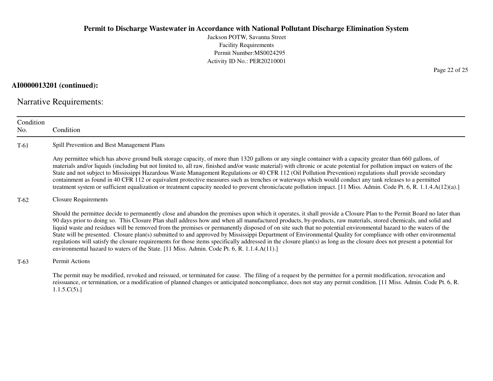Jackson POTW, Savanna StreetFacility Requirements Permit Number:MS0024295Activity ID No.: PER20210001

**AI0000013201 (continued):**

Narrative Requirements:

| Condition<br>No. | Condition                                                                                                                                                                                                                                                                                                                                                                                                                                                                                                                                                                                                                                                                                                                                                                                                                                                                                                                                          |  |  |
|------------------|----------------------------------------------------------------------------------------------------------------------------------------------------------------------------------------------------------------------------------------------------------------------------------------------------------------------------------------------------------------------------------------------------------------------------------------------------------------------------------------------------------------------------------------------------------------------------------------------------------------------------------------------------------------------------------------------------------------------------------------------------------------------------------------------------------------------------------------------------------------------------------------------------------------------------------------------------|--|--|
| $T-61$           | Spill Prevention and Best Management Plans                                                                                                                                                                                                                                                                                                                                                                                                                                                                                                                                                                                                                                                                                                                                                                                                                                                                                                         |  |  |
|                  | Any permittee which has above ground bulk storage capacity, of more than 1320 gallons or any single container with a capacity greater than 660 gallons, of<br>materials and/or liquids (including but not limited to, all raw, finished and/or waste material) with chronic or acute potential for pollution impact on waters of the<br>State and not subject to Mississippi Hazardous Waste Management Regulations or 40 CFR 112 (Oil Pollution Prevention) regulations shall provide secondary<br>containment as found in 40 CFR 112 or equivalent protective measures such as trenches or waterways which would conduct any tank releases to a permitted<br>treatment system or sufficient equalization or treatment capacity needed to prevent chronic/acute pollution impact. [11 Miss. Admin. Code Pt. 6, R. 1.1.4.A(12)(a).]                                                                                                                |  |  |
| $T-62$           | <b>Closure Requirements</b>                                                                                                                                                                                                                                                                                                                                                                                                                                                                                                                                                                                                                                                                                                                                                                                                                                                                                                                        |  |  |
|                  | Should the permittee decide to permanently close and abandon the premises upon which it operates, it shall provide a Closure Plan to the Permit Board no later than<br>90 days prior to doing so. This Closure Plan shall address how and when all manufactured products, by-products, raw materials, stored chemicals, and solid and<br>liquid waste and residues will be removed from the premises or permanently disposed of on site such that no potential environmental hazard to the waters of the<br>State will be presented. Closure plan(s) submitted to and approved by Mississippi Department of Environmental Quality for compliance with other environmental<br>regulations will satisfy the closure requirements for those items specifically addressed in the closure plan(s) as long as the closure does not present a potential for<br>environmental hazard to waters of the State. [11 Miss. Admin. Code Pt. 6, R. 1.1.4.A(11).] |  |  |
| $T-63$           | Permit Actions                                                                                                                                                                                                                                                                                                                                                                                                                                                                                                                                                                                                                                                                                                                                                                                                                                                                                                                                     |  |  |
|                  | The permit may be modified, revoked and reissued, or terminated for cause. The filing of a request by the permittee for a permit modification, revocation and<br>reissuance, or termination, or a modification of planned changes or anticipated noncompliance, does not stay any permit condition. [11 Miss. Admin. Code Pt. 6, R.                                                                                                                                                                                                                                                                                                                                                                                                                                                                                                                                                                                                                |  |  |

 $1.1.5.C(5).$ 

Page 22 of 25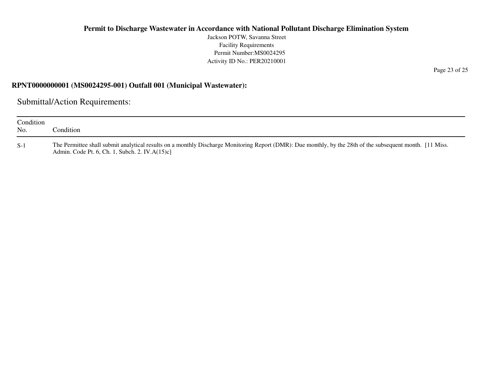Jackson POTW, Savanna StreetFacility Requirements Permit Number:MS0024295Activity ID No.: PER20210001

#### **RPNT0000000001 (MS0024295-001) Outfall 001 (Municipal Wastewater):**

Submittal/Action Requirements:

| Condition<br>No. | Condition :                                                                                                                                                                                                 |
|------------------|-------------------------------------------------------------------------------------------------------------------------------------------------------------------------------------------------------------|
| $S-1$            | The Permittee shall submit analytical results on a monthly Discharge Monitoring Report (DMR): Due monthly, by the 28th of the subsequent month. [11 Miss.<br>Admin. Code Pt. 6, Ch. 1, Subch. 2. IV.A(15)c] |

Page 23 of 25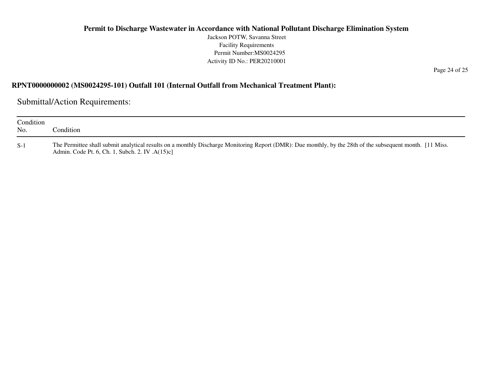Jackson POTW, Savanna StreetFacility Requirements Permit Number:MS0024295Activity ID No.: PER20210001

Page 24 of 25

## **RPNT0000000002 (MS0024295-101) Outfall 101 (Internal Outfall from Mechanical Treatment Plant):**

Submittal/Action Requirements:

| Condition<br>No. | Condition:                                                                                                                                                                                                   |
|------------------|--------------------------------------------------------------------------------------------------------------------------------------------------------------------------------------------------------------|
| $S-1$            | The Permittee shall submit analytical results on a monthly Discharge Monitoring Report (DMR): Due monthly, by the 28th of the subsequent month. [11 Miss.<br>Admin. Code Pt. 6, Ch. 1, Subch. 2. IV. A(15)c] |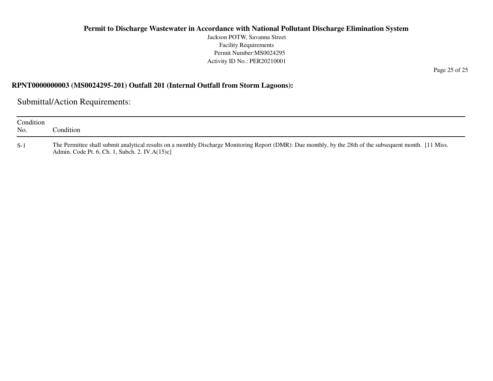Jackson POTW, Savanna StreetFacility Requirements Permit Number:MS0024295Activity ID No.: PER20210001

### **RPNT0000000003 (MS0024295-201) Outfall 201 (Internal Outfall from Storm Lagoons):**

Submittal/Action Requirements:

| Condition<br>No. | Condition:                                                                                                                                                                                                   |
|------------------|--------------------------------------------------------------------------------------------------------------------------------------------------------------------------------------------------------------|
| $S-1$            | The Permittee shall submit analytical results on a monthly Discharge Monitoring Report (DMR): Due monthly, by the 28th of the subsequent month. [11 Miss.]<br>Admin. Code Pt. 6, Ch. 1, Subch. 2. IV.A(15)c] |

Page 25 of 25